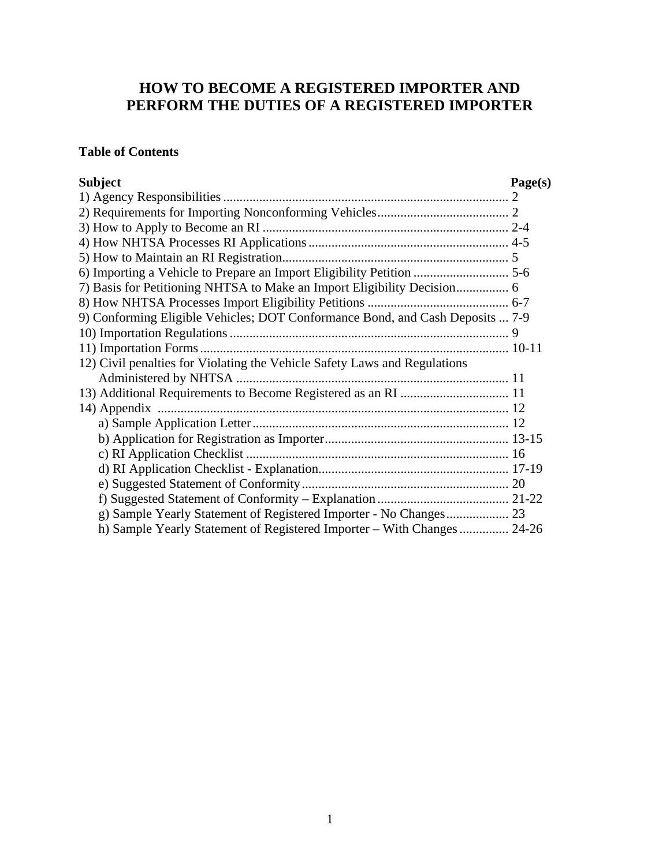# **HOW TO BECOME A REGISTERED IMPORTER AND PERFORM THE DUTIES OF A REGISTERED IMPORTER**

# **Table of Contents**

| <b>Subject</b>                                                                | Page(s) |
|-------------------------------------------------------------------------------|---------|
|                                                                               |         |
|                                                                               |         |
|                                                                               |         |
|                                                                               |         |
|                                                                               |         |
| 6) Importing a Vehicle to Prepare an Import Eligibility Petition  5-6         |         |
|                                                                               |         |
|                                                                               |         |
| 9) Conforming Eligible Vehicles; DOT Conformance Bond, and Cash Deposits  7-9 |         |
|                                                                               |         |
|                                                                               |         |
| 12) Civil penalties for Violating the Vehicle Safety Laws and Regulations     |         |
|                                                                               |         |
|                                                                               |         |
| 14) Appendix                                                                  |         |
|                                                                               |         |
|                                                                               |         |
|                                                                               |         |
|                                                                               |         |
|                                                                               |         |
|                                                                               |         |
|                                                                               |         |
| h) Sample Yearly Statement of Registered Importer - With Changes  24-26       |         |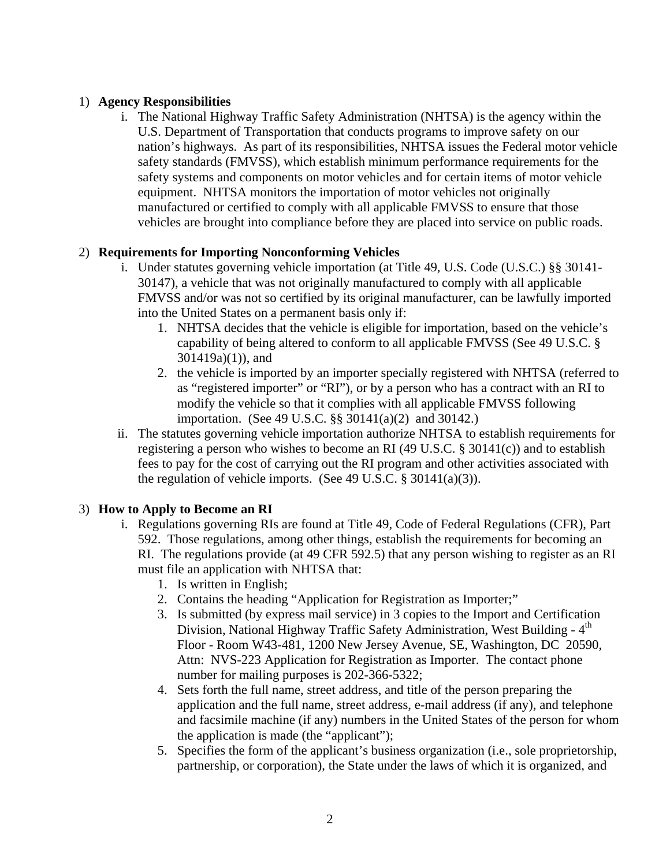## 1) **Agency Responsibilities**

i. The National Highway Traffic Safety Administration (NHTSA) is the agency within the U.S. Department of Transportation that conducts programs to improve safety on our nation's highways. As part of its responsibilities, NHTSA issues the Federal motor vehicle safety standards (FMVSS), which establish minimum performance requirements for the safety systems and components on motor vehicles and for certain items of motor vehicle equipment. NHTSA monitors the importation of motor vehicles not originally manufactured or certified to comply with all applicable FMVSS to ensure that those vehicles are brought into compliance before they are placed into service on public roads.

#### 2) **Requirements for Importing Nonconforming Vehicles**

- i. Under statutes governing vehicle importation (at Title 49, U.S. Code (U.S.C.) §§ 30141- 30147), a vehicle that was not originally manufactured to comply with all applicable FMVSS and/or was not so certified by its original manufacturer, can be lawfully imported into the United States on a permanent basis only if:
	- 1. NHTSA decides that the vehicle is eligible for importation, based on the vehicle's capability of being altered to conform to all applicable FMVSS (See 49 U.S.C. § 301419a)(1)), and
	- 2. the vehicle is imported by an importer specially registered with NHTSA (referred to as "registered importer" or "RI"), or by a person who has a contract with an RI to modify the vehicle so that it complies with all applicable FMVSS following importation. (See 49 U.S.C. §§ 30141(a)(2) and 30142.)
- ii. The statutes governing vehicle importation authorize NHTSA to establish requirements for registering a person who wishes to become an RI (49 U.S.C. § 30141(c)) and to establish fees to pay for the cost of carrying out the RI program and other activities associated with the regulation of vehicle imports. (See 49 U.S.C. § 30141(a)(3)).

# 3) **How to Apply to Become an RI**

- i. Regulations governing RIs are found at Title 49, Code of Federal Regulations (CFR), Part 592. Those regulations, among other things, establish the requirements for becoming an RI. The regulations provide (at 49 CFR 592.5) that any person wishing to register as an RI must file an application with NHTSA that:
	- 1. Is written in English;
	- 2. Contains the heading "Application for Registration as Importer;"
	- 3. Is submitted (by express mail service) in 3 copies to the Import and Certification Division, National Highway Traffic Safety Administration, West Building - 4<sup>th</sup> Floor - Room W43-481, 1200 New Jersey Avenue, SE, Washington, DC 20590, Attn: NVS-223 Application for Registration as Importer. The contact phone number for mailing purposes is 202-366-5322;
	- 4. Sets forth the full name, street address, and title of the person preparing the application and the full name, street address, e-mail address (if any), and telephone and facsimile machine (if any) numbers in the United States of the person for whom the application is made (the "applicant");
	- 5. Specifies the form of the applicant's business organization (i.e., sole proprietorship, partnership, or corporation), the State under the laws of which it is organized, and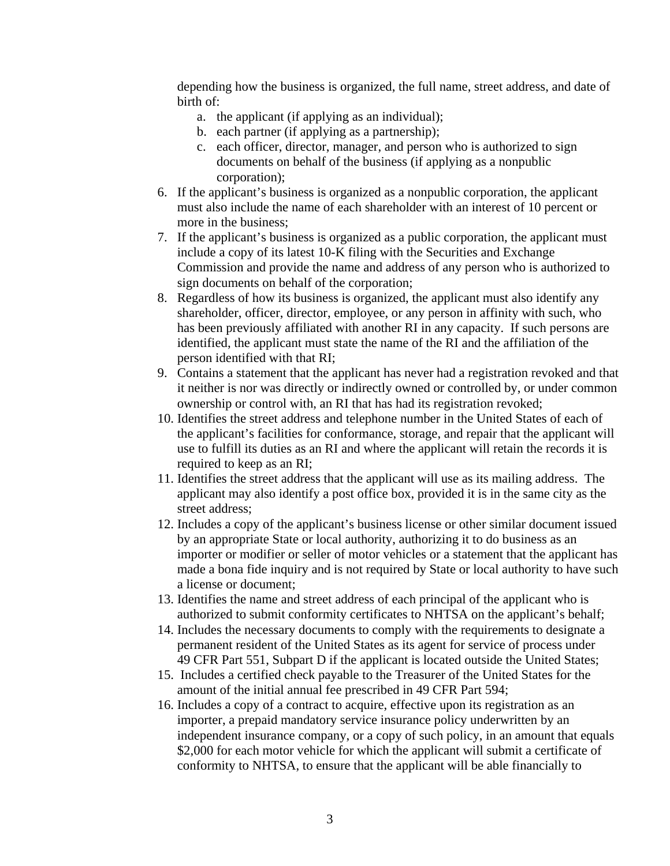depending how the business is organized, the full name, street address, and date of birth of:

- a. the applicant (if applying as an individual);
- b. each partner (if applying as a partnership);
- c. each officer, director, manager, and person who is authorized to sign documents on behalf of the business (if applying as a nonpublic corporation);
- 6. If the applicant's business is organized as a nonpublic corporation, the applicant must also include the name of each shareholder with an interest of 10 percent or more in the business;
- 7. If the applicant's business is organized as a public corporation, the applicant must include a copy of its latest 10-K filing with the Securities and Exchange Commission and provide the name and address of any person who is authorized to sign documents on behalf of the corporation;
- 8. Regardless of how its business is organized, the applicant must also identify any shareholder, officer, director, employee, or any person in affinity with such, who has been previously affiliated with another RI in any capacity. If such persons are identified, the applicant must state the name of the RI and the affiliation of the person identified with that RI;
- 9. Contains a statement that the applicant has never had a registration revoked and that it neither is nor was directly or indirectly owned or controlled by, or under common ownership or control with, an RI that has had its registration revoked;
- 10. Identifies the street address and telephone number in the United States of each of the applicant's facilities for conformance, storage, and repair that the applicant will use to fulfill its duties as an RI and where the applicant will retain the records it is required to keep as an RI;
- 11. Identifies the street address that the applicant will use as its mailing address. The applicant may also identify a post office box, provided it is in the same city as the street address;
- 12. Includes a copy of the applicant's business license or other similar document issued by an appropriate State or local authority, authorizing it to do business as an importer or modifier or seller of motor vehicles or a statement that the applicant has made a bona fide inquiry and is not required by State or local authority to have such a license or document;
- 13. Identifies the name and street address of each principal of the applicant who is authorized to submit conformity certificates to NHTSA on the applicant's behalf;
- 14. Includes the necessary documents to comply with the requirements to designate a permanent resident of the United States as its agent for service of process under 49 CFR Part 551, Subpart D if the applicant is located outside the United States;
- 15. Includes a certified check payable to the Treasurer of the United States for the amount of the initial annual fee prescribed in 49 CFR Part 594;
- 16. Includes a copy of a contract to acquire, effective upon its registration as an importer, a prepaid mandatory service insurance policy underwritten by an independent insurance company, or a copy of such policy, in an amount that equals \$2,000 for each motor vehicle for which the applicant will submit a certificate of conformity to NHTSA, to ensure that the applicant will be able financially to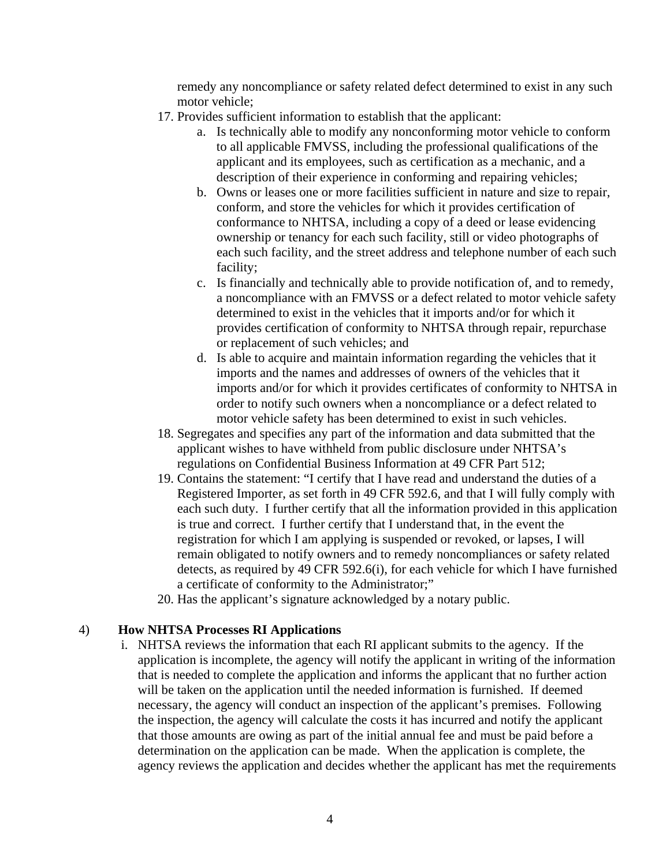remedy any noncompliance or safety related defect determined to exist in any such motor vehicle;

- 17. Provides sufficient information to establish that the applicant:
	- a. Is technically able to modify any nonconforming motor vehicle to conform to all applicable FMVSS, including the professional qualifications of the applicant and its employees, such as certification as a mechanic, and a description of their experience in conforming and repairing vehicles;
	- b. Owns or leases one or more facilities sufficient in nature and size to repair, conform, and store the vehicles for which it provides certification of conformance to NHTSA, including a copy of a deed or lease evidencing ownership or tenancy for each such facility, still or video photographs of each such facility, and the street address and telephone number of each such facility;
	- c. Is financially and technically able to provide notification of, and to remedy, a noncompliance with an FMVSS or a defect related to motor vehicle safety determined to exist in the vehicles that it imports and/or for which it provides certification of conformity to NHTSA through repair, repurchase or replacement of such vehicles; and
	- d. Is able to acquire and maintain information regarding the vehicles that it imports and the names and addresses of owners of the vehicles that it imports and/or for which it provides certificates of conformity to NHTSA in order to notify such owners when a noncompliance or a defect related to motor vehicle safety has been determined to exist in such vehicles.
- 18. Segregates and specifies any part of the information and data submitted that the applicant wishes to have withheld from public disclosure under NHTSA's regulations on Confidential Business Information at 49 CFR Part 512;
- 19. Contains the statement: "I certify that I have read and understand the duties of a Registered Importer, as set forth in 49 CFR 592.6, and that I will fully comply with each such duty. I further certify that all the information provided in this application is true and correct. I further certify that I understand that, in the event the registration for which I am applying is suspended or revoked, or lapses, I will remain obligated to notify owners and to remedy noncompliances or safety related detects, as required by 49 CFR 592.6(i), for each vehicle for which I have furnished a certificate of conformity to the Administrator;"
- 20. Has the applicant's signature acknowledged by a notary public.

#### 4) **How NHTSA Processes RI Applications**

i. NHTSA reviews the information that each RI applicant submits to the agency. If the application is incomplete, the agency will notify the applicant in writing of the information that is needed to complete the application and informs the applicant that no further action will be taken on the application until the needed information is furnished. If deemed necessary, the agency will conduct an inspection of the applicant's premises. Following the inspection, the agency will calculate the costs it has incurred and notify the applicant that those amounts are owing as part of the initial annual fee and must be paid before a determination on the application can be made. When the application is complete, the agency reviews the application and decides whether the applicant has met the requirements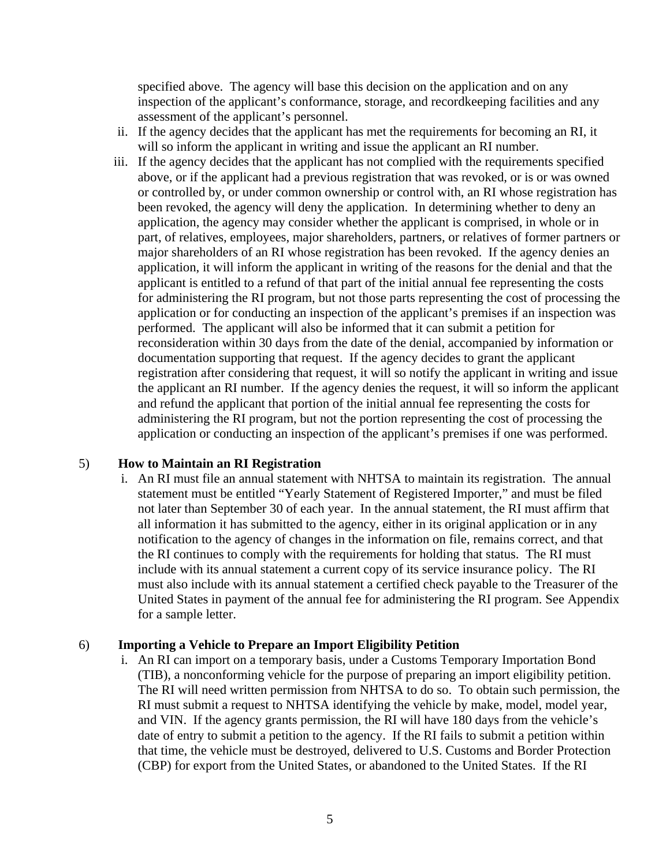specified above. The agency will base this decision on the application and on any inspection of the applicant's conformance, storage, and recordkeeping facilities and any assessment of the applicant's personnel.

- ii. If the agency decides that the applicant has met the requirements for becoming an RI, it will so inform the applicant in writing and issue the applicant an RI number.
- iii. If the agency decides that the applicant has not complied with the requirements specified above, or if the applicant had a previous registration that was revoked, or is or was owned or controlled by, or under common ownership or control with, an RI whose registration has been revoked, the agency will deny the application. In determining whether to deny an application, the agency may consider whether the applicant is comprised, in whole or in part, of relatives, employees, major shareholders, partners, or relatives of former partners or major shareholders of an RI whose registration has been revoked. If the agency denies an application, it will inform the applicant in writing of the reasons for the denial and that the applicant is entitled to a refund of that part of the initial annual fee representing the costs for administering the RI program, but not those parts representing the cost of processing the application or for conducting an inspection of the applicant's premises if an inspection was performed. The applicant will also be informed that it can submit a petition for reconsideration within 30 days from the date of the denial, accompanied by information or documentation supporting that request. If the agency decides to grant the applicant registration after considering that request, it will so notify the applicant in writing and issue the applicant an RI number. If the agency denies the request, it will so inform the applicant and refund the applicant that portion of the initial annual fee representing the costs for administering the RI program, but not the portion representing the cost of processing the application or conducting an inspection of the applicant's premises if one was performed.

#### 5) **How to Maintain an RI Registration**

i. An RI must file an annual statement with NHTSA to maintain its registration. The annual statement must be entitled "Yearly Statement of Registered Importer," and must be filed not later than September 30 of each year. In the annual statement, the RI must affirm that all information it has submitted to the agency, either in its original application or in any notification to the agency of changes in the information on file, remains correct, and that the RI continues to comply with the requirements for holding that status. The RI must include with its annual statement a current copy of its service insurance policy. The RI must also include with its annual statement a certified check payable to the Treasurer of the United States in payment of the annual fee for administering the RI program. See Appendix for a sample letter.

#### 6) **Importing a Vehicle to Prepare an Import Eligibility Petition**

i. An RI can import on a temporary basis, under a Customs Temporary Importation Bond (TIB), a nonconforming vehicle for the purpose of preparing an import eligibility petition. The RI will need written permission from NHTSA to do so. To obtain such permission, the RI must submit a request to NHTSA identifying the vehicle by make, model, model year, and VIN. If the agency grants permission, the RI will have 180 days from the vehicle's date of entry to submit a petition to the agency. If the RI fails to submit a petition within that time, the vehicle must be destroyed, delivered to U.S. Customs and Border Protection (CBP) for export from the United States, or abandoned to the United States. If the RI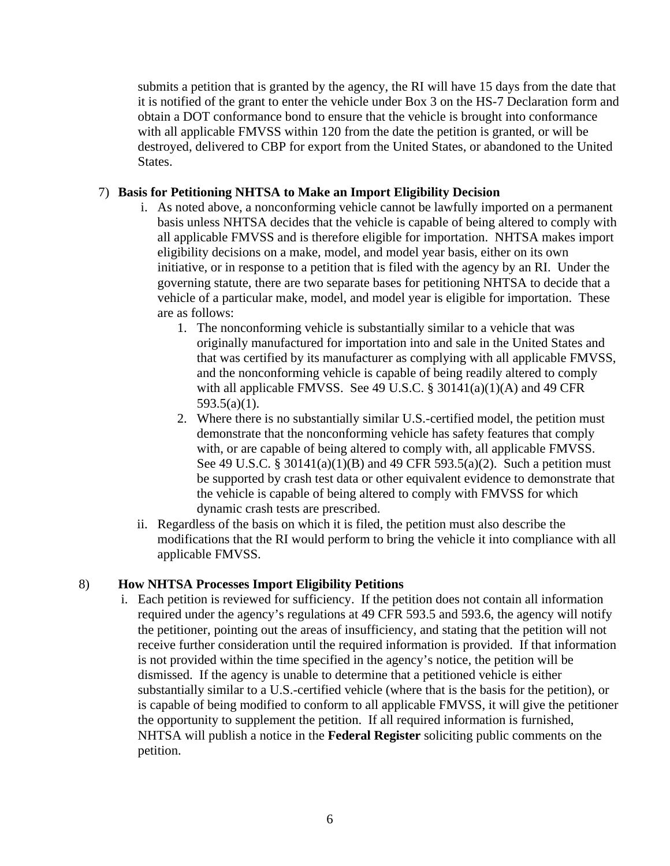submits a petition that is granted by the agency, the RI will have 15 days from the date that it is notified of the grant to enter the vehicle under Box 3 on the HS-7 Declaration form and obtain a DOT conformance bond to ensure that the vehicle is brought into conformance with all applicable FMVSS within 120 from the date the petition is granted, or will be destroyed, delivered to CBP for export from the United States, or abandoned to the United States.

#### 7) **Basis for Petitioning NHTSA to Make an Import Eligibility Decision**

- i. As noted above, a nonconforming vehicle cannot be lawfully imported on a permanent basis unless NHTSA decides that the vehicle is capable of being altered to comply with all applicable FMVSS and is therefore eligible for importation. NHTSA makes import eligibility decisions on a make, model, and model year basis, either on its own initiative, or in response to a petition that is filed with the agency by an RI. Under the governing statute, there are two separate bases for petitioning NHTSA to decide that a vehicle of a particular make, model, and model year is eligible for importation. These are as follows:
	- 1. The nonconforming vehicle is substantially similar to a vehicle that was originally manufactured for importation into and sale in the United States and that was certified by its manufacturer as complying with all applicable FMVSS, and the nonconforming vehicle is capable of being readily altered to comply with all applicable FMVSS. See 49 U.S.C.  $\S$  30141(a)(1)(A) and 49 CFR 593.5(a)(1).
	- 2. Where there is no substantially similar U.S.-certified model, the petition must demonstrate that the nonconforming vehicle has safety features that comply with, or are capable of being altered to comply with, all applicable FMVSS. See 49 U.S.C. § 30141(a)(1)(B) and 49 CFR 593.5(a)(2). Such a petition must be supported by crash test data or other equivalent evidence to demonstrate that the vehicle is capable of being altered to comply with FMVSS for which dynamic crash tests are prescribed.
- ii. Regardless of the basis on which it is filed, the petition must also describe the modifications that the RI would perform to bring the vehicle it into compliance with all applicable FMVSS.

#### 8) **How NHTSA Processes Import Eligibility Petitions**

i. Each petition is reviewed for sufficiency. If the petition does not contain all information required under the agency's regulations at 49 CFR 593.5 and 593.6, the agency will notify the petitioner, pointing out the areas of insufficiency, and stating that the petition will not receive further consideration until the required information is provided. If that information is not provided within the time specified in the agency's notice, the petition will be dismissed. If the agency is unable to determine that a petitioned vehicle is either substantially similar to a U.S.-certified vehicle (where that is the basis for the petition), or is capable of being modified to conform to all applicable FMVSS, it will give the petitioner the opportunity to supplement the petition. If all required information is furnished, NHTSA will publish a notice in the **Federal Register** soliciting public comments on the petition.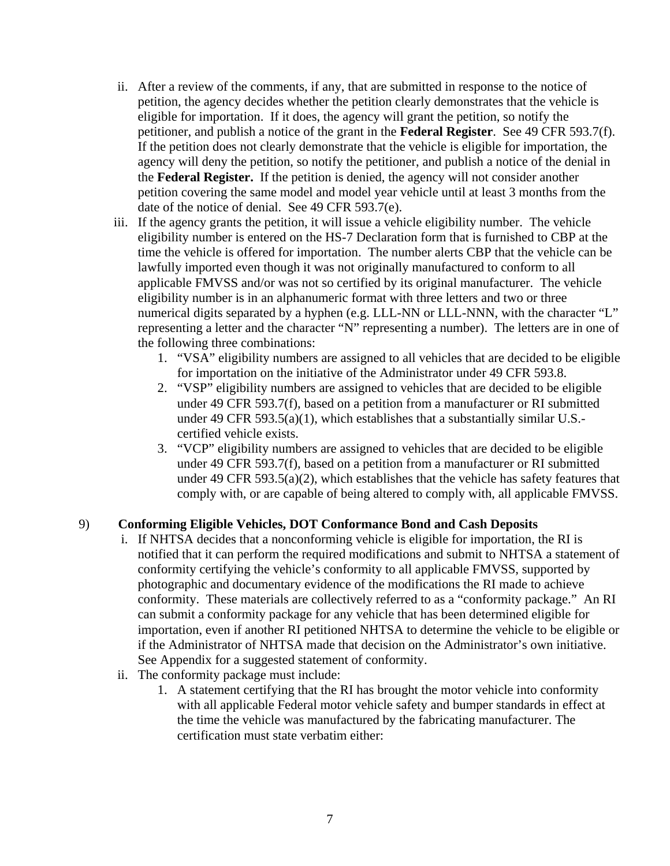- ii. After a review of the comments, if any, that are submitted in response to the notice of petition, the agency decides whether the petition clearly demonstrates that the vehicle is eligible for importation. If it does, the agency will grant the petition, so notify the petitioner, and publish a notice of the grant in the **Federal Register**. See 49 CFR 593.7(f). If the petition does not clearly demonstrate that the vehicle is eligible for importation, the agency will deny the petition, so notify the petitioner, and publish a notice of the denial in the **Federal Register.** If the petition is denied, the agency will not consider another petition covering the same model and model year vehicle until at least 3 months from the date of the notice of denial. See 49 CFR 593.7(e).
- iii. If the agency grants the petition, it will issue a vehicle eligibility number. The vehicle eligibility number is entered on the HS-7 Declaration form that is furnished to CBP at the time the vehicle is offered for importation. The number alerts CBP that the vehicle can be lawfully imported even though it was not originally manufactured to conform to all applicable FMVSS and/or was not so certified by its original manufacturer. The vehicle eligibility number is in an alphanumeric format with three letters and two or three numerical digits separated by a hyphen (e.g. LLL-NN or LLL-NNN, with the character "L" representing a letter and the character "N" representing a number). The letters are in one of the following three combinations:
	- 1. "VSA" eligibility numbers are assigned to all vehicles that are decided to be eligible for importation on the initiative of the Administrator under 49 CFR 593.8.
	- 2. "VSP" eligibility numbers are assigned to vehicles that are decided to be eligible under 49 CFR 593.7(f), based on a petition from a manufacturer or RI submitted under 49 CFR 593.5(a)(1), which establishes that a substantially similar U.S. certified vehicle exists.
	- 3. "VCP" eligibility numbers are assigned to vehicles that are decided to be eligible under 49 CFR 593.7(f), based on a petition from a manufacturer or RI submitted under 49 CFR 593.5(a)(2), which establishes that the vehicle has safety features that comply with, or are capable of being altered to comply with, all applicable FMVSS.

# 9) **Conforming Eligible Vehicles, DOT Conformance Bond and Cash Deposits**

- i. If NHTSA decides that a nonconforming vehicle is eligible for importation, the RI is notified that it can perform the required modifications and submit to NHTSA a statement of conformity certifying the vehicle's conformity to all applicable FMVSS, supported by photographic and documentary evidence of the modifications the RI made to achieve conformity. These materials are collectively referred to as a "conformity package." An RI can submit a conformity package for any vehicle that has been determined eligible for importation, even if another RI petitioned NHTSA to determine the vehicle to be eligible or if the Administrator of NHTSA made that decision on the Administrator's own initiative. See Appendix for a suggested statement of conformity.
- ii. The conformity package must include:
	- 1. A statement certifying that the RI has brought the motor vehicle into conformity with all applicable Federal motor vehicle safety and bumper standards in effect at the time the vehicle was manufactured by the fabricating manufacturer. The certification must state verbatim either: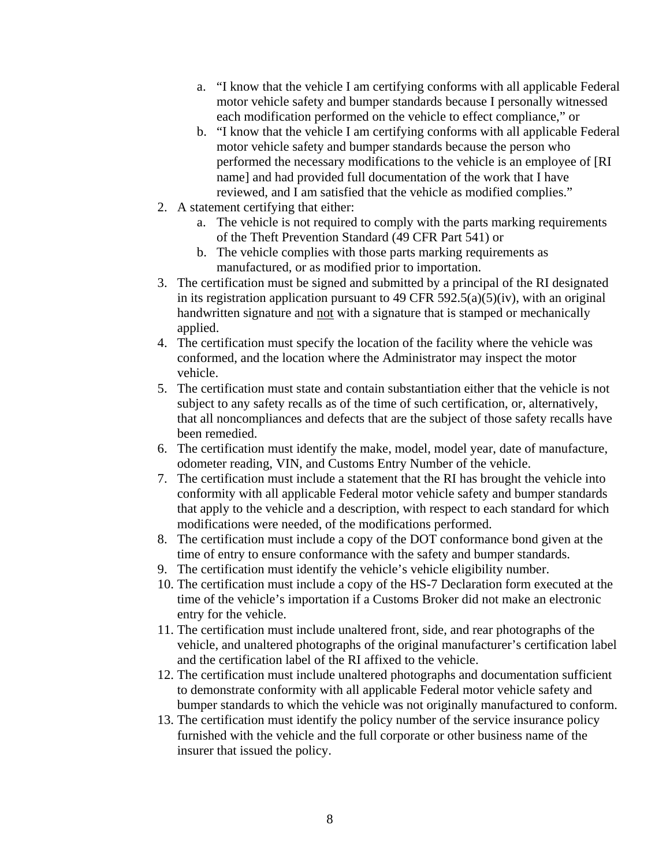- a. "I know that the vehicle I am certifying conforms with all applicable Federal motor vehicle safety and bumper standards because I personally witnessed each modification performed on the vehicle to effect compliance," or
- b. "I know that the vehicle I am certifying conforms with all applicable Federal motor vehicle safety and bumper standards because the person who performed the necessary modifications to the vehicle is an employee of [RI name] and had provided full documentation of the work that I have reviewed, and I am satisfied that the vehicle as modified complies."
- 2. A statement certifying that either:
	- a. The vehicle is not required to comply with the parts marking requirements of the Theft Prevention Standard (49 CFR Part 541) or
	- b. The vehicle complies with those parts marking requirements as manufactured, or as modified prior to importation.
- 3. The certification must be signed and submitted by a principal of the RI designated in its registration application pursuant to 49 CFR 592.5(a)(5)(iv), with an original handwritten signature and not with a signature that is stamped or mechanically applied.
- 4. The certification must specify the location of the facility where the vehicle was conformed, and the location where the Administrator may inspect the motor vehicle.
- 5. The certification must state and contain substantiation either that the vehicle is not subject to any safety recalls as of the time of such certification, or, alternatively, that all noncompliances and defects that are the subject of those safety recalls have been remedied.
- 6. The certification must identify the make, model, model year, date of manufacture, odometer reading, VIN, and Customs Entry Number of the vehicle.
- 7. The certification must include a statement that the RI has brought the vehicle into conformity with all applicable Federal motor vehicle safety and bumper standards that apply to the vehicle and a description, with respect to each standard for which modifications were needed, of the modifications performed.
- 8. The certification must include a copy of the DOT conformance bond given at the time of entry to ensure conformance with the safety and bumper standards.
- 9. The certification must identify the vehicle's vehicle eligibility number.
- 10. The certification must include a copy of the HS-7 Declaration form executed at the time of the vehicle's importation if a Customs Broker did not make an electronic entry for the vehicle.
- 11. The certification must include unaltered front, side, and rear photographs of the vehicle, and unaltered photographs of the original manufacturer's certification label and the certification label of the RI affixed to the vehicle.
- 12. The certification must include unaltered photographs and documentation sufficient to demonstrate conformity with all applicable Federal motor vehicle safety and bumper standards to which the vehicle was not originally manufactured to conform.
- 13. The certification must identify the policy number of the service insurance policy furnished with the vehicle and the full corporate or other business name of the insurer that issued the policy.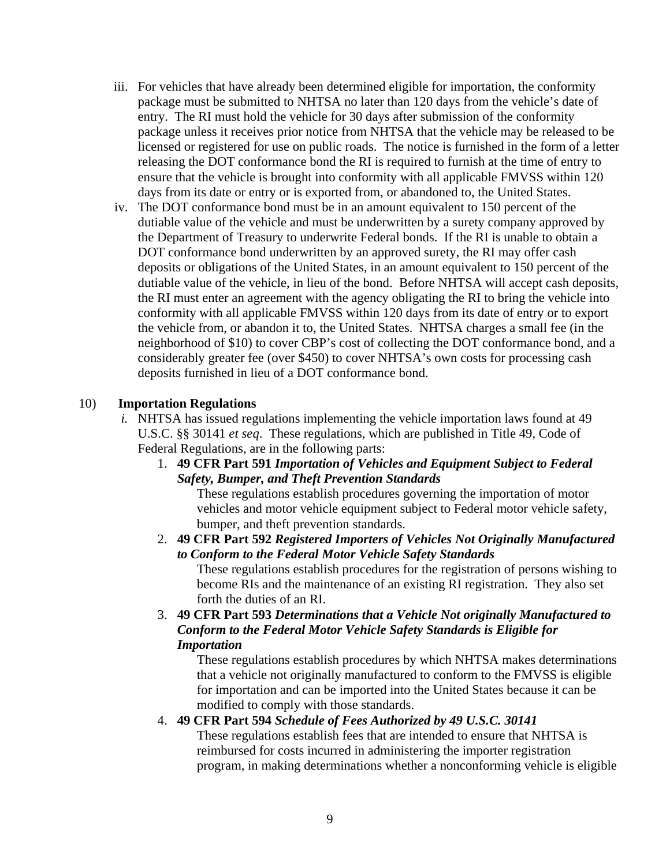- iii. For vehicles that have already been determined eligible for importation, the conformity package must be submitted to NHTSA no later than 120 days from the vehicle's date of entry. The RI must hold the vehicle for 30 days after submission of the conformity package unless it receives prior notice from NHTSA that the vehicle may be released to be licensed or registered for use on public roads. The notice is furnished in the form of a letter releasing the DOT conformance bond the RI is required to furnish at the time of entry to ensure that the vehicle is brought into conformity with all applicable FMVSS within 120 days from its date or entry or is exported from, or abandoned to, the United States.
- iv. The DOT conformance bond must be in an amount equivalent to 150 percent of the dutiable value of the vehicle and must be underwritten by a surety company approved by the Department of Treasury to underwrite Federal bonds. If the RI is unable to obtain a DOT conformance bond underwritten by an approved surety, the RI may offer cash deposits or obligations of the United States, in an amount equivalent to 150 percent of the dutiable value of the vehicle, in lieu of the bond. Before NHTSA will accept cash deposits, the RI must enter an agreement with the agency obligating the RI to bring the vehicle into conformity with all applicable FMVSS within 120 days from its date of entry or to export the vehicle from, or abandon it to, the United States. NHTSA charges a small fee (in the neighborhood of \$10) to cover CBP's cost of collecting the DOT conformance bond, and a considerably greater fee (over \$450) to cover NHTSA's own costs for processing cash deposits furnished in lieu of a DOT conformance bond.

#### 10) **Importation Regulations**

- *i.* NHTSA has issued regulations implementing the vehicle importation laws found at 49 U.S.C. §§ 30141 *et seq*. These regulations, which are published in Title 49, Code of Federal Regulations, are in the following parts:
	- 1. **49 CFR Part 591** *Importation of Vehicles and Equipment Subject to Federal Safety, Bumper, and Theft Prevention Standards*

These regulations establish procedures governing the importation of motor vehicles and motor vehicle equipment subject to Federal motor vehicle safety, bumper, and theft prevention standards.

- 2. **49 CFR Part 592** *Registered Importers of Vehicles Not Originally Manufactured to Conform to the Federal Motor Vehicle Safety Standards* These regulations establish procedures for the registration of persons wishing to become RIs and the maintenance of an existing RI registration. They also set forth the duties of an RI.
- 3. **49 CFR Part 593** *Determinations that a Vehicle Not originally Manufactured to Conform to the Federal Motor Vehicle Safety Standards is Eligible for Importation*

These regulations establish procedures by which NHTSA makes determinations that a vehicle not originally manufactured to conform to the FMVSS is eligible for importation and can be imported into the United States because it can be modified to comply with those standards.

#### 4. **49 CFR Part 594** *Schedule of Fees Authorized by 49 U.S.C. 30141*

These regulations establish fees that are intended to ensure that NHTSA is reimbursed for costs incurred in administering the importer registration program, in making determinations whether a nonconforming vehicle is eligible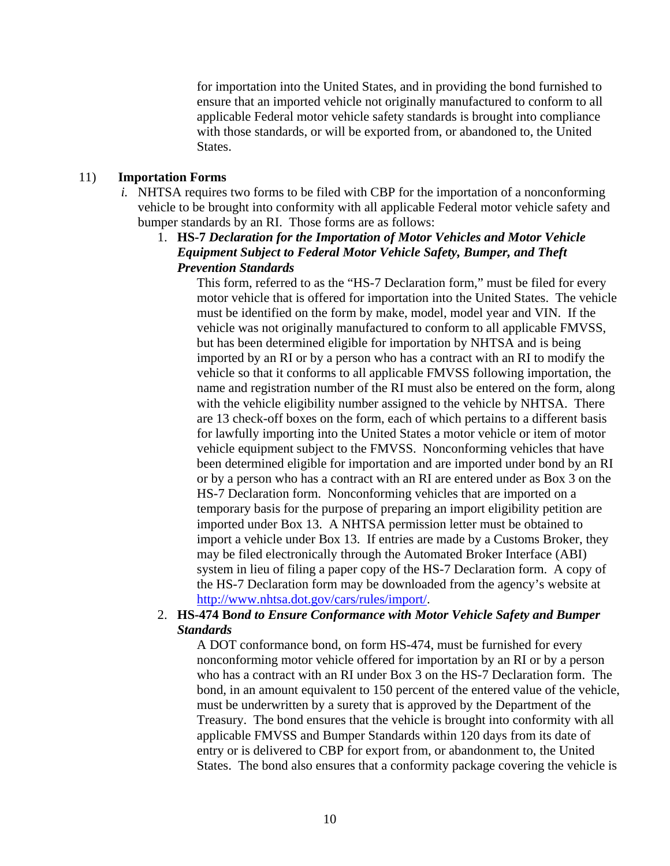for importation into the United States, and in providing the bond furnished to ensure that an imported vehicle not originally manufactured to conform to all applicable Federal motor vehicle safety standards is brought into compliance with those standards, or will be exported from, or abandoned to, the United States.

#### 11) **Importation Forms**

*i.* NHTSA requires two forms to be filed with CBP for the importation of a nonconforming vehicle to be brought into conformity with all applicable Federal motor vehicle safety and bumper standards by an RI. Those forms are as follows:

#### 1. **HS-7** *Declaration for the Importation of Motor Vehicles and Motor Vehicle Equipment Subject to Federal Motor Vehicle Safety, Bumper, and Theft Prevention Standards*

This form, referred to as the "HS-7 Declaration form," must be filed for every motor vehicle that is offered for importation into the United States. The vehicle must be identified on the form by make, model, model year and VIN. If the vehicle was not originally manufactured to conform to all applicable FMVSS, but has been determined eligible for importation by NHTSA and is being imported by an RI or by a person who has a contract with an RI to modify the vehicle so that it conforms to all applicable FMVSS following importation, the name and registration number of the RI must also be entered on the form, along with the vehicle eligibility number assigned to the vehicle by NHTSA. There are 13 check-off boxes on the form, each of which pertains to a different basis for lawfully importing into the United States a motor vehicle or item of motor vehicle equipment subject to the FMVSS. Nonconforming vehicles that have been determined eligible for importation and are imported under bond by an RI or by a person who has a contract with an RI are entered under as Box 3 on the HS-7 Declaration form. Nonconforming vehicles that are imported on a temporary basis for the purpose of preparing an import eligibility petition are imported under Box 13. A NHTSA permission letter must be obtained to import a vehicle under Box 13. If entries are made by a Customs Broker, they may be filed electronically through the Automated Broker Interface (ABI) system in lieu of filing a paper copy of the HS-7 Declaration form. A copy of the HS-7 Declaration form may be downloaded from the agency's website at http://www.nhtsa.dot.gov/cars/rules/import/.

#### 2. **HS-474 B***ond to Ensure Conformance with Motor Vehicle Safety and Bumper Standards*

A DOT conformance bond, on form HS-474, must be furnished for every nonconforming motor vehicle offered for importation by an RI or by a person who has a contract with an RI under Box 3 on the HS-7 Declaration form. The bond, in an amount equivalent to 150 percent of the entered value of the vehicle, must be underwritten by a surety that is approved by the Department of the Treasury. The bond ensures that the vehicle is brought into conformity with all applicable FMVSS and Bumper Standards within 120 days from its date of entry or is delivered to CBP for export from, or abandonment to, the United States. The bond also ensures that a conformity package covering the vehicle is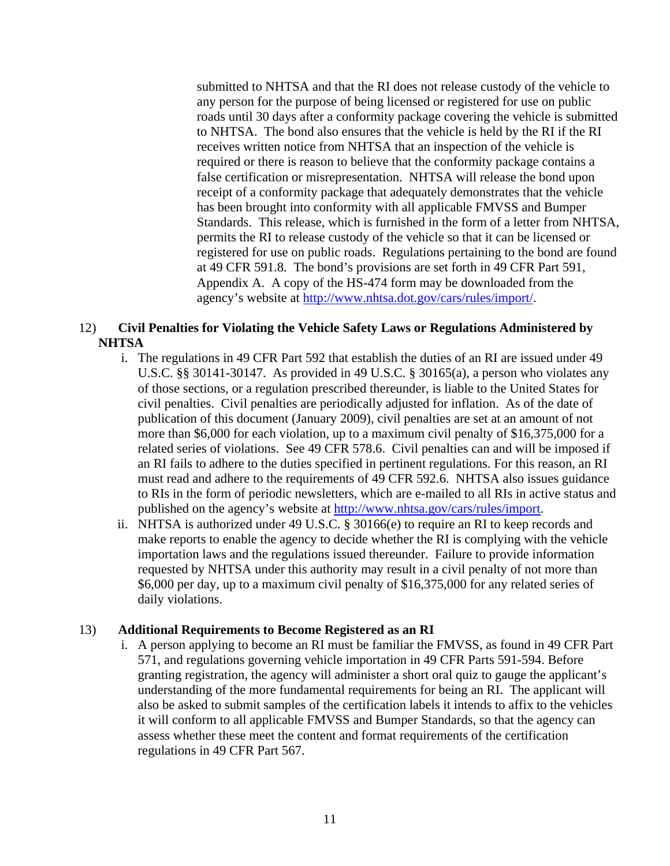submitted to NHTSA and that the RI does not release custody of the vehicle to any person for the purpose of being licensed or registered for use on public roads until 30 days after a conformity package covering the vehicle is submitted to NHTSA. The bond also ensures that the vehicle is held by the RI if the RI receives written notice from NHTSA that an inspection of the vehicle is required or there is reason to believe that the conformity package contains a false certification or misrepresentation. NHTSA will release the bond upon receipt of a conformity package that adequately demonstrates that the vehicle has been brought into conformity with all applicable FMVSS and Bumper Standards. This release, which is furnished in the form of a letter from NHTSA, permits the RI to release custody of the vehicle so that it can be licensed or registered for use on public roads. Regulations pertaining to the bond are found at 49 CFR 591.8. The bond's provisions are set forth in 49 CFR Part 591, Appendix A. A copy of the HS-474 form may be downloaded from the agency's website at http://www.nhtsa.dot.gov/cars/rules/import/.

#### 12) **Civil Penalties for Violating the Vehicle Safety Laws or Regulations Administered by NHTSA**

- i. The regulations in 49 CFR Part 592 that establish the duties of an RI are issued under 49 U.S.C. §§ 30141-30147. As provided in 49 U.S.C. § 30165(a), a person who violates any of those sections, or a regulation prescribed thereunder, is liable to the United States for civil penalties. Civil penalties are periodically adjusted for inflation. As of the date of publication of this document (January 2009), civil penalties are set at an amount of not more than \$6,000 for each violation, up to a maximum civil penalty of \$16,375,000 for a related series of violations. See 49 CFR 578.6. Civil penalties can and will be imposed if an RI fails to adhere to the duties specified in pertinent regulations. For this reason, an RI must read and adhere to the requirements of 49 CFR 592.6. NHTSA also issues guidance to RIs in the form of periodic newsletters, which are e-mailed to all RIs in active status and published on the agency's website at http://www.nhtsa.gov/cars/rules/import.
- ii. NHTSA is authorized under 49 U.S.C. § 30166(e) to require an RI to keep records and make reports to enable the agency to decide whether the RI is complying with the vehicle importation laws and the regulations issued thereunder. Failure to provide information requested by NHTSA under this authority may result in a civil penalty of not more than \$6,000 per day, up to a maximum civil penalty of \$16,375,000 for any related series of daily violations.

#### 13) **Additional Requirements to Become Registered as an RI**

i. A person applying to become an RI must be familiar the FMVSS, as found in 49 CFR Part 571, and regulations governing vehicle importation in 49 CFR Parts 591-594. Before granting registration, the agency will administer a short oral quiz to gauge the applicant's understanding of the more fundamental requirements for being an RI. The applicant will also be asked to submit samples of the certification labels it intends to affix to the vehicles it will conform to all applicable FMVSS and Bumper Standards, so that the agency can assess whether these meet the content and format requirements of the certification regulations in 49 CFR Part 567.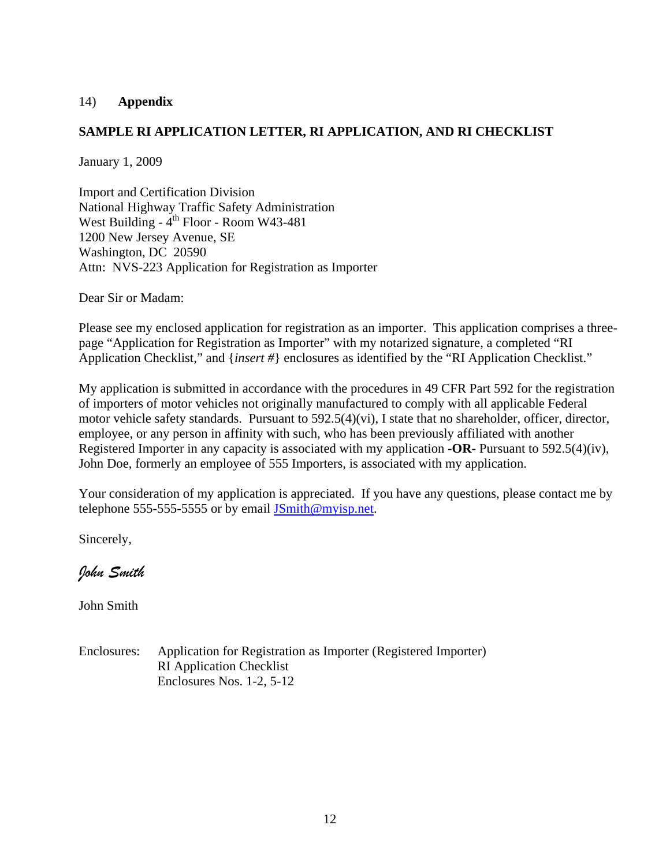#### 14) **Appendix**

#### **SAMPLE RI APPLICATION LETTER, RI APPLICATION, AND RI CHECKLIST**

January 1, 2009

Import and Certification Division National Highway Traffic Safety Administration West Building -  $4^{th}$  Floor - Room W43-481 1200 New Jersey Avenue, SE Washington, DC 20590 Attn: NVS-223 Application for Registration as Importer

Dear Sir or Madam:

Please see my enclosed application for registration as an importer. This application comprises a threepage "Application for Registration as Importer" with my notarized signature, a completed "RI Application Checklist," and {*insert #*} enclosures as identified by the "RI Application Checklist."

My application is submitted in accordance with the procedures in 49 CFR Part 592 for the registration of importers of motor vehicles not originally manufactured to comply with all applicable Federal motor vehicle safety standards. Pursuant to 592.5(4)(vi), I state that no shareholder, officer, director, employee, or any person in affinity with such, who has been previously affiliated with another Registered Importer in any capacity is associated with my application **-OR-** Pursuant to 592.5(4)(iv), John Doe, formerly an employee of 555 Importers, is associated with my application.

Your consideration of my application is appreciated. If you have any questions, please contact me by telephone 555-555-5555 or by email JSmith@myisp.net.

Sincerely,

*John Smith* 

John Smith

Enclosures: Application for Registration as Importer (Registered Importer) RI Application Checklist Enclosures Nos. 1-2, 5-12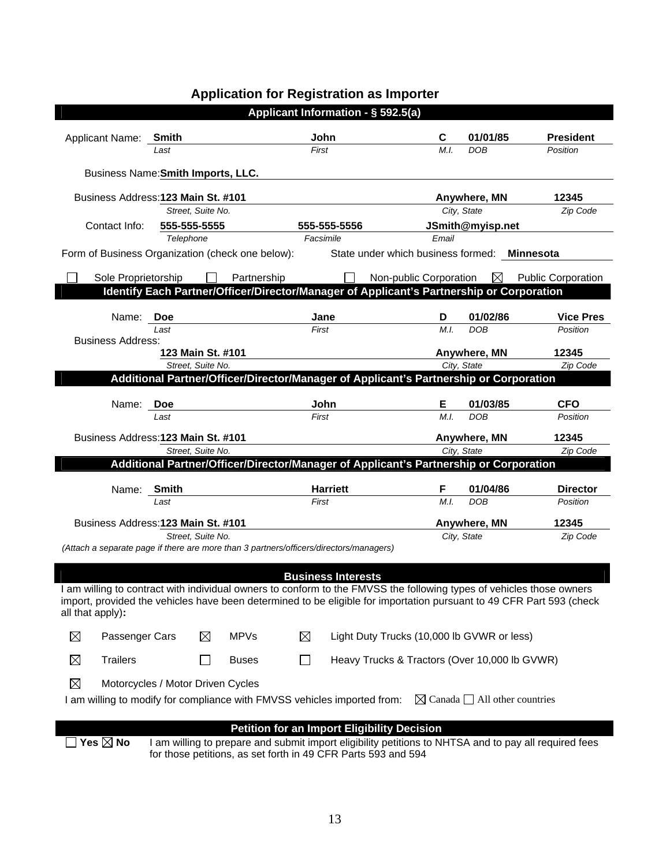| Applicant Information - § 592.5(a) |                                                                                                                           |            |                   |              |               |                                                                                          |                                               |                        |                                                                                                                                                                                                                                            |
|------------------------------------|---------------------------------------------------------------------------------------------------------------------------|------------|-------------------|--------------|---------------|------------------------------------------------------------------------------------------|-----------------------------------------------|------------------------|--------------------------------------------------------------------------------------------------------------------------------------------------------------------------------------------------------------------------------------------|
|                                    |                                                                                                                           |            |                   |              |               |                                                                                          |                                               |                        |                                                                                                                                                                                                                                            |
|                                    | Applicant Name: Smith                                                                                                     | Last       |                   |              | John<br>First |                                                                                          | C<br>M.I.                                     | 01/01/85<br><b>DOB</b> | <b>President</b><br>Position                                                                                                                                                                                                               |
|                                    |                                                                                                                           |            |                   |              |               |                                                                                          |                                               |                        |                                                                                                                                                                                                                                            |
|                                    | Business Name: Smith Imports, LLC.                                                                                        |            |                   |              |               |                                                                                          |                                               |                        |                                                                                                                                                                                                                                            |
|                                    | Business Address: 123 Main St. #101                                                                                       |            |                   |              |               |                                                                                          |                                               | Anywhere, MN           | 12345                                                                                                                                                                                                                                      |
|                                    |                                                                                                                           |            | Street. Suite No. |              |               |                                                                                          |                                               | City, State            | Zip Code                                                                                                                                                                                                                                   |
|                                    | Contact Info:                                                                                                             |            | 555-555-5555      |              |               | 555-555-5556                                                                             |                                               | JSmith@myisp.net       |                                                                                                                                                                                                                                            |
|                                    |                                                                                                                           | Telephone  |                   |              | Facsimile     |                                                                                          | Email                                         |                        |                                                                                                                                                                                                                                            |
|                                    | Form of Business Organization (check one below):                                                                          |            |                   |              |               |                                                                                          | State under which business formed:            |                        | <b>Minnesota</b>                                                                                                                                                                                                                           |
|                                    | Sole Proprietorship                                                                                                       |            |                   | Partnership  |               |                                                                                          | Non-public Corporation                        | ⊠                      | <b>Public Corporation</b>                                                                                                                                                                                                                  |
|                                    |                                                                                                                           |            |                   |              |               | Identify Each Partner/Officer/Director/Manager of Applicant's Partnership or Corporation |                                               |                        |                                                                                                                                                                                                                                            |
|                                    |                                                                                                                           |            |                   |              |               |                                                                                          |                                               |                        |                                                                                                                                                                                                                                            |
|                                    | Name:                                                                                                                     | <b>Doe</b> |                   |              | Jane          |                                                                                          | D                                             | 01/02/86               | <b>Vice Pres</b>                                                                                                                                                                                                                           |
|                                    | <b>Business Address:</b>                                                                                                  | Last       |                   |              | First         |                                                                                          | M.I.                                          | <b>DOB</b>             | Position                                                                                                                                                                                                                                   |
|                                    |                                                                                                                           |            | 123 Main St. #101 |              |               |                                                                                          |                                               | Anywhere, MN           | 12345                                                                                                                                                                                                                                      |
|                                    |                                                                                                                           |            | Street, Suite No. |              |               |                                                                                          |                                               | City, State            | Zip Code                                                                                                                                                                                                                                   |
|                                    |                                                                                                                           |            |                   |              |               | Additional Partner/Officer/Director/Manager of Applicant's Partnership or Corporation    |                                               |                        |                                                                                                                                                                                                                                            |
|                                    | Name:                                                                                                                     | <b>Doe</b> |                   |              | John          |                                                                                          | Е.                                            | 01/03/85               | <b>CFO</b>                                                                                                                                                                                                                                 |
|                                    |                                                                                                                           | Last       |                   |              | First         |                                                                                          | M.I.                                          | <b>DOB</b>             | Position                                                                                                                                                                                                                                   |
|                                    |                                                                                                                           |            |                   |              |               |                                                                                          |                                               |                        |                                                                                                                                                                                                                                            |
|                                    | Business Address: 123 Main St. #101                                                                                       |            |                   |              |               |                                                                                          |                                               | Anywhere, MN           | 12345                                                                                                                                                                                                                                      |
|                                    |                                                                                                                           |            | Street. Suite No. |              |               | Additional Partner/Officer/Director/Manager of Applicant's Partnership or Corporation    |                                               | City, State            | Zip Code                                                                                                                                                                                                                                   |
|                                    |                                                                                                                           |            |                   |              |               |                                                                                          |                                               |                        |                                                                                                                                                                                                                                            |
|                                    | Name: Smith                                                                                                               |            |                   |              |               | <b>Harriett</b>                                                                          | F                                             | 01/04/86               | <b>Director</b>                                                                                                                                                                                                                            |
|                                    |                                                                                                                           | Last       |                   |              | First         |                                                                                          | M.I.                                          | <b>DOB</b>             | Position                                                                                                                                                                                                                                   |
|                                    | Business Address: 123 Main St. #101                                                                                       |            |                   |              |               |                                                                                          |                                               | Anywhere, MN           | 12345                                                                                                                                                                                                                                      |
|                                    |                                                                                                                           |            | Street, Suite No. |              |               |                                                                                          |                                               | City, State            | Zip Code                                                                                                                                                                                                                                   |
|                                    |                                                                                                                           |            |                   |              |               | (Attach a separate page if there are more than 3 partners/officers/directors/managers)   |                                               |                        |                                                                                                                                                                                                                                            |
|                                    |                                                                                                                           |            |                   |              |               |                                                                                          |                                               |                        |                                                                                                                                                                                                                                            |
|                                    |                                                                                                                           |            |                   |              |               | <b>Business Interests</b>                                                                |                                               |                        |                                                                                                                                                                                                                                            |
|                                    |                                                                                                                           |            |                   |              |               |                                                                                          |                                               |                        | am willing to contract with individual owners to conform to the FMVSS the following types of vehicles those owners<br>import, provided the vehicles have been determined to be eligible for importation pursuant to 49 CFR Part 593 (check |
|                                    | all that apply):                                                                                                          |            |                   |              |               |                                                                                          |                                               |                        |                                                                                                                                                                                                                                            |
|                                    |                                                                                                                           |            |                   |              |               |                                                                                          |                                               |                        |                                                                                                                                                                                                                                            |
| ⊠                                  | Passenger Cars                                                                                                            |            | $\boxtimes$       | <b>MPVs</b>  | ⊠             |                                                                                          | Light Duty Trucks (10,000 lb GVWR or less)    |                        |                                                                                                                                                                                                                                            |
| $\boxtimes$                        | <b>Trailers</b>                                                                                                           |            | $\sim$            | <b>Buses</b> | ΙI            |                                                                                          | Heavy Trucks & Tractors (Over 10,000 lb GVWR) |                        |                                                                                                                                                                                                                                            |
|                                    |                                                                                                                           |            |                   |              |               |                                                                                          |                                               |                        |                                                                                                                                                                                                                                            |
| ⊠                                  | Motorcycles / Motor Driven Cycles                                                                                         |            |                   |              |               |                                                                                          |                                               |                        |                                                                                                                                                                                                                                            |
|                                    | I am willing to modify for compliance with FMVSS vehicles imported from:<br>$\boxtimes$ Canada $\Box$ All other countries |            |                   |              |               |                                                                                          |                                               |                        |                                                                                                                                                                                                                                            |
|                                    |                                                                                                                           |            |                   |              |               |                                                                                          |                                               |                        |                                                                                                                                                                                                                                            |
|                                    | Yes $\boxtimes$ No                                                                                                        |            |                   |              |               | <b>Petition for an Import Eligibility Decision</b>                                       |                                               |                        | I am willing to prepare and submit import eligibility petitions to NHTSA and to pay all required fees                                                                                                                                      |
|                                    |                                                                                                                           |            |                   |              |               | for those petitions, as set forth in 49 CFR Parts 593 and 594                            |                                               |                        |                                                                                                                                                                                                                                            |

# **Application for Registration as Importer**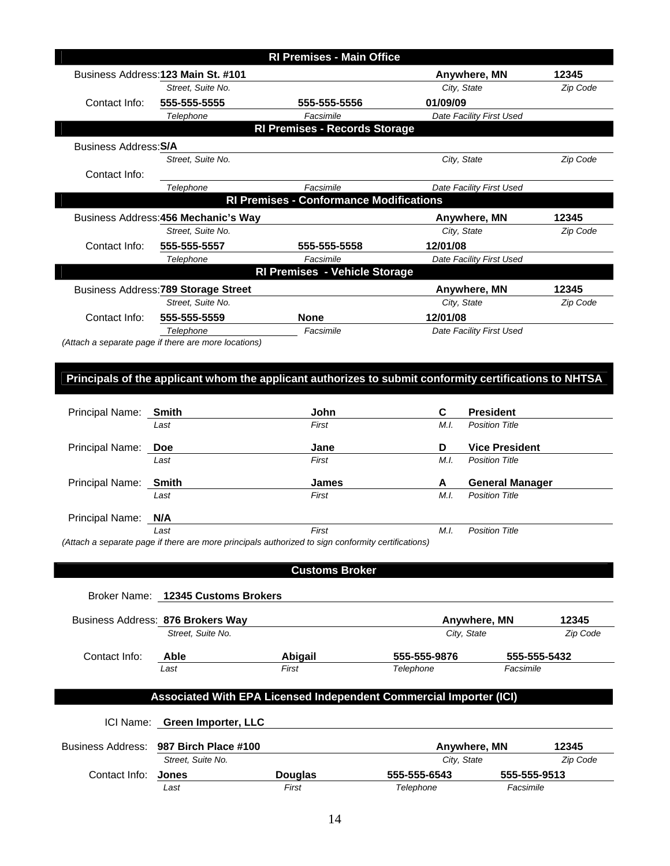|                                                                    |                                                                                                        | <b>RI Premises - Main Office</b>               |              |                             |                   |  |  |
|--------------------------------------------------------------------|--------------------------------------------------------------------------------------------------------|------------------------------------------------|--------------|-----------------------------|-------------------|--|--|
|                                                                    | Business Address: 123 Main St. #101                                                                    |                                                |              | Anywhere, MN                | 12345             |  |  |
|                                                                    | Street, Suite No.                                                                                      |                                                |              | City, State                 | Zip Code          |  |  |
| Contact Info:                                                      | 555-555-5555                                                                                           | 555-555-5556                                   | 01/09/09     |                             |                   |  |  |
|                                                                    | Telephone                                                                                              | Facsimile                                      |              | Date Facility First Used    |                   |  |  |
|                                                                    |                                                                                                        | <b>RI Premises - Records Storage</b>           |              |                             |                   |  |  |
| <b>Business Address: S/A</b>                                       |                                                                                                        |                                                |              |                             |                   |  |  |
|                                                                    | Street, Suite No.                                                                                      |                                                |              | City, State                 | Zip Code          |  |  |
| Contact Info:                                                      |                                                                                                        |                                                |              |                             |                   |  |  |
|                                                                    | Telephone                                                                                              | Facsimile                                      |              | Date Facility First Used    |                   |  |  |
|                                                                    |                                                                                                        | <b>RI Premises - Conformance Modifications</b> |              |                             |                   |  |  |
|                                                                    | Business Address: 456 Mechanic's Way                                                                   |                                                |              | Anywhere, MN                | 12345             |  |  |
|                                                                    | Street, Suite No.                                                                                      |                                                |              | City, State                 | Zip Code          |  |  |
| Contact Info:                                                      | 555-555-5557                                                                                           | 555-555-5558                                   | 12/01/08     |                             |                   |  |  |
|                                                                    | Telephone                                                                                              | Facsimile                                      |              | Date Facility First Used    |                   |  |  |
|                                                                    |                                                                                                        | <b>RI Premises - Vehicle Storage</b>           |              |                             |                   |  |  |
|                                                                    | Business Address: 789 Storage Street                                                                   |                                                |              | Anywhere, MN                | 12345             |  |  |
|                                                                    | Street, Suite No.                                                                                      |                                                |              | City, State                 | Zip Code          |  |  |
| Contact Info:                                                      | 555-555-5559                                                                                           | None                                           | 12/01/08     |                             |                   |  |  |
|                                                                    | Telephone                                                                                              | Facsimile                                      |              | Date Facility First Used    |                   |  |  |
|                                                                    | (Attach a separate page if there are more locations)                                                   |                                                |              |                             |                   |  |  |
|                                                                    |                                                                                                        |                                                |              |                             |                   |  |  |
|                                                                    | Principals of the applicant whom the applicant authorizes to submit conformity certifications to NHTSA |                                                |              |                             |                   |  |  |
|                                                                    |                                                                                                        |                                                |              |                             |                   |  |  |
| Principal Name:                                                    | <b>Smith</b>                                                                                           | John                                           | C            | <b>President</b>            |                   |  |  |
|                                                                    | Last                                                                                                   | First                                          | M.I.         | <b>Position Title</b>       |                   |  |  |
|                                                                    |                                                                                                        |                                                |              |                             |                   |  |  |
| Principal Name:                                                    | Doe                                                                                                    | Jane                                           | D            | <b>Vice President</b>       |                   |  |  |
|                                                                    | Last                                                                                                   | First                                          | M.I.         | <b>Position Title</b>       |                   |  |  |
| Principal Name:                                                    | <b>Smith</b>                                                                                           | James                                          | A            | <b>General Manager</b>      |                   |  |  |
|                                                                    | Last                                                                                                   | First                                          | M.I.         | <b>Position Title</b>       |                   |  |  |
|                                                                    |                                                                                                        |                                                |              |                             |                   |  |  |
| Principal Name:                                                    | N/A<br>Last                                                                                            | First                                          | M.I.         | <b>Position Title</b>       |                   |  |  |
|                                                                    | (Attach a separate page if there are more principals authorized to sign conformity certifications)     |                                                |              |                             |                   |  |  |
|                                                                    |                                                                                                        |                                                |              |                             |                   |  |  |
|                                                                    |                                                                                                        | <b>Customs Broker</b>                          |              |                             |                   |  |  |
|                                                                    |                                                                                                        |                                                |              |                             |                   |  |  |
|                                                                    | Broker Name: 12345 Customs Brokers                                                                     |                                                |              |                             |                   |  |  |
|                                                                    |                                                                                                        |                                                |              |                             |                   |  |  |
|                                                                    | Business Address: 876 Brokers Way<br>Street, Suite No.                                                 |                                                |              | Anywhere, MN<br>City, State | 12345<br>Zip Code |  |  |
|                                                                    |                                                                                                        |                                                |              |                             |                   |  |  |
| Contact Info:                                                      | Able                                                                                                   | Abigail                                        | 555-555-9876 |                             | 555-555-5432      |  |  |
|                                                                    | Last                                                                                                   | First                                          | Telephone    | Facsimile                   |                   |  |  |
|                                                                    |                                                                                                        |                                                |              |                             |                   |  |  |
| Associated With EPA Licensed Independent Commercial Importer (ICI) |                                                                                                        |                                                |              |                             |                   |  |  |
|                                                                    |                                                                                                        |                                                |              |                             |                   |  |  |
|                                                                    | ICI Name: Green Importer, LLC                                                                          |                                                |              |                             |                   |  |  |
| <b>Business Address:</b>                                           | 987 Birch Place #100                                                                                   |                                                |              | Anywhere, MN                | 12345             |  |  |
|                                                                    | Street, Suite No.                                                                                      |                                                |              | City, State                 | Zip Code          |  |  |
| Contact Info:                                                      | Jones                                                                                                  | <b>Douglas</b>                                 | 555-555-6543 | 555-555-9513                |                   |  |  |
|                                                                    | Last                                                                                                   | First                                          | Telephone    | Facsimile                   |                   |  |  |
|                                                                    |                                                                                                        |                                                |              |                             |                   |  |  |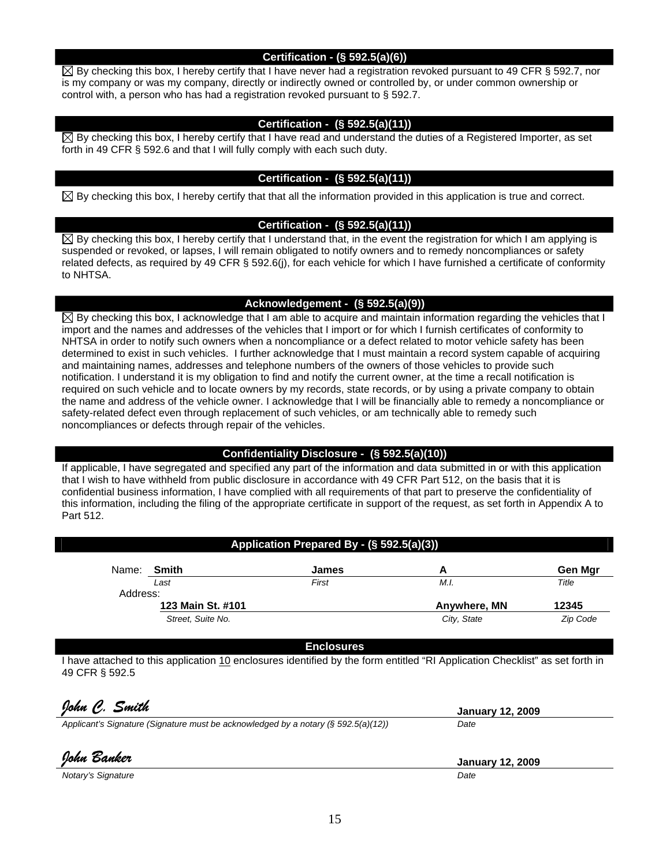#### **Certification - (§ 592.5(a)(6))**

 $\boxtimes$  By checking this box, I hereby certify that I have never had a registration revoked pursuant to 49 CFR § 592.7, nor is my company or was my company, directly or indirectly owned or controlled by, or under common ownership or control with, a person who has had a registration revoked pursuant to § 592.7.

#### **Certification - (§ 592.5(a)(11))**

 $\boxtimes$  By checking this box, I hereby certify that I have read and understand the duties of a Registered Importer, as set forth in 49 CFR § 592.6 and that I will fully comply with each such duty.

#### **Certification - (§ 592.5(a)(11))**

 $\boxtimes$  By checking this box, I hereby certify that that all the information provided in this application is true and correct.

#### **Certification - (§ 592.5(a)(11))**

 $\boxtimes$  By checking this box, I hereby certify that I understand that, in the event the registration for which I am applying is suspended or revoked, or lapses, I will remain obligated to notify owners and to remedy noncompliances or safety related defects, as required by 49 CFR § 592.6(j), for each vehicle for which I have furnished a certificate of conformity to NHTSA.

#### **Acknowledgement - (§ 592.5(a)(9))**

 $\boxtimes$  By checking this box, I acknowledge that I am able to acquire and maintain information regarding the vehicles that I import and the names and addresses of the vehicles that I import or for which I furnish certificates of conformity to NHTSA in order to notify such owners when a noncompliance or a defect related to motor vehicle safety has been determined to exist in such vehicles. I further acknowledge that I must maintain a record system capable of acquiring and maintaining names, addresses and telephone numbers of the owners of those vehicles to provide such notification. I understand it is my obligation to find and notify the current owner, at the time a recall notification is required on such vehicle and to locate owners by my records, state records, or by using a private company to obtain the name and address of the vehicle owner. I acknowledge that I will be financially able to remedy a noncompliance or safety-related defect even through replacement of such vehicles, or am technically able to remedy such noncompliances or defects through repair of the vehicles.

#### **Confidentiality Disclosure - (§ 592.5(a)(10))**

If applicable, I have segregated and specified any part of the information and data submitted in or with this application that I wish to have withheld from public disclosure in accordance with 49 CFR Part 512, on the basis that it is confidential business information, I have complied with all requirements of that part to preserve the confidentiality of this information, including the filing of the appropriate certificate in support of the request, as set forth in Appendix A to Part 512.

#### **Application Prepared By - (§ 592.5(a)(3))**

| Name:    | Smith             | James |              | Gen Mar  |
|----------|-------------------|-------|--------------|----------|
|          | Last              | First | M.I.         | Title    |
| Address: |                   |       |              |          |
|          | 123 Main St. #101 |       | Anywhere, MN | 12345    |
|          | Street, Suite No. |       | City, State  | Zip Code |

**Enclosures** 

I have attached to this application 10 enclosures identified by the form entitled "RI Application Checklist" as set forth in 49 CFR § 592.5

| Iohn C. Smith                                                                         | <b>January 12, 2009</b> |
|---------------------------------------------------------------------------------------|-------------------------|
| Applicant's Signature (Signature must be acknowledged by a notary $(§\ 592.5(a)(12))$ | Date                    |
|                                                                                       |                         |
| John Banker                                                                           | <b>January 12, 2009</b> |

*Notary's Signature* Date **Date** *Date Date Date*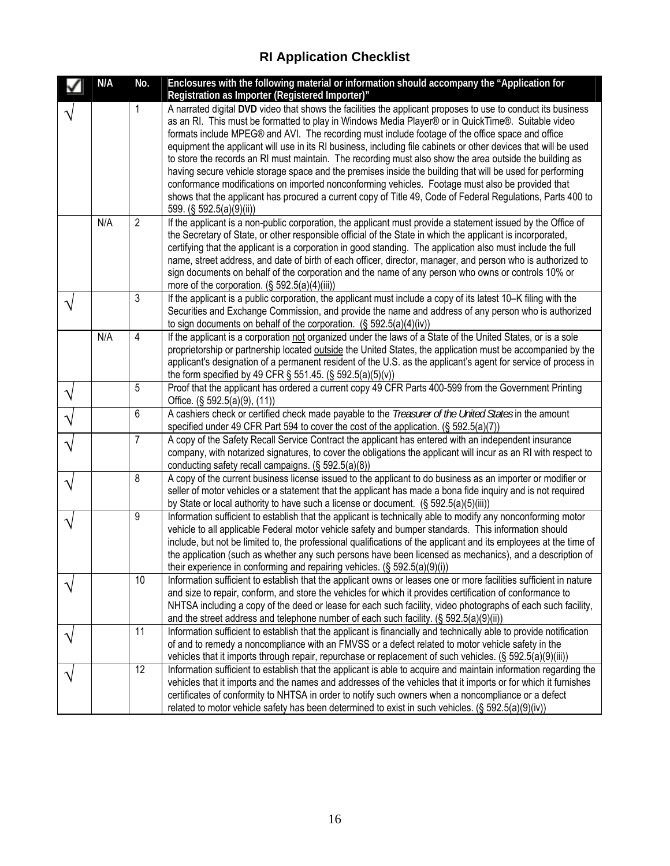# **RI Application Checklist**

|   | N/A | No.            | Enclosures with the following material or information should accompany the "Application for<br>Registration as Importer (Registered Importer)"                                                                                                                                                                                                                                                                                                                                                                                                                                                                                                                                                                                                                                                                                                                                                                   |
|---|-----|----------------|------------------------------------------------------------------------------------------------------------------------------------------------------------------------------------------------------------------------------------------------------------------------------------------------------------------------------------------------------------------------------------------------------------------------------------------------------------------------------------------------------------------------------------------------------------------------------------------------------------------------------------------------------------------------------------------------------------------------------------------------------------------------------------------------------------------------------------------------------------------------------------------------------------------|
|   |     | 1              | A narrated digital DVD video that shows the facilities the applicant proposes to use to conduct its business<br>as an RI. This must be formatted to play in Windows Media Player® or in QuickTime®. Suitable video<br>formats include MPEG® and AVI. The recording must include footage of the office space and office<br>equipment the applicant will use in its RI business, including file cabinets or other devices that will be used<br>to store the records an RI must maintain. The recording must also show the area outside the building as<br>having secure vehicle storage space and the premises inside the building that will be used for performing<br>conformance modifications on imported nonconforming vehicles. Footage must also be provided that<br>shows that the applicant has procured a current copy of Title 49, Code of Federal Regulations, Parts 400 to<br>599. (§ 592.5(a)(9)(ii)) |
|   | N/A | $\overline{2}$ | If the applicant is a non-public corporation, the applicant must provide a statement issued by the Office of<br>the Secretary of State, or other responsible official of the State in which the applicant is incorporated,<br>certifying that the applicant is a corporation in good standing. The application also must include the full<br>name, street address, and date of birth of each officer, director, manager, and person who is authorized to<br>sign documents on behalf of the corporation and the name of any person who owns or controls 10% or<br>more of the corporation. $(\S 592.5(a)(4)(iii))$                                                                                                                                                                                                                                                                                               |
|   |     | 3              | If the applicant is a public corporation, the applicant must include a copy of its latest 10-K filing with the<br>Securities and Exchange Commission, and provide the name and address of any person who is authorized<br>to sign documents on behalf of the corporation. $(\S 592.5(a)(4)(iv))$                                                                                                                                                                                                                                                                                                                                                                                                                                                                                                                                                                                                                 |
|   | N/A | $\overline{4}$ | If the applicant is a corporation not organized under the laws of a State of the United States, or is a sole<br>proprietorship or partnership located outside the United States, the application must be accompanied by the<br>applicant's designation of a permanent resident of the U.S. as the applicant's agent for service of process in<br>the form specified by 49 CFR $\S$ 551.45. ( $\S$ 592.5(a)(5)(v))                                                                                                                                                                                                                                                                                                                                                                                                                                                                                                |
| ٦ |     | 5              | Proof that the applicant has ordered a current copy 49 CFR Parts 400-599 from the Government Printing<br>Office. $(\S 592.5(a)(9), (11))$                                                                                                                                                                                                                                                                                                                                                                                                                                                                                                                                                                                                                                                                                                                                                                        |
|   |     | 6              | A cashiers check or certified check made payable to the <i>Treasurer of the United States</i> in the amount<br>specified under 49 CFR Part 594 to cover the cost of the application. $(\S 592.5(a)(7))$                                                                                                                                                                                                                                                                                                                                                                                                                                                                                                                                                                                                                                                                                                          |
|   |     | $\overline{7}$ | A copy of the Safety Recall Service Contract the applicant has entered with an independent insurance<br>company, with notarized signatures, to cover the obligations the applicant will incur as an RI with respect to<br>conducting safety recall campaigns. (§ 592.5(a)(8))                                                                                                                                                                                                                                                                                                                                                                                                                                                                                                                                                                                                                                    |
|   |     | 8              | A copy of the current business license issued to the applicant to do business as an importer or modifier or<br>seller of motor vehicles or a statement that the applicant has made a bona fide inquiry and is not required<br>by State or local authority to have such a license or document. (§ 592.5(a)(5)(iii))                                                                                                                                                                                                                                                                                                                                                                                                                                                                                                                                                                                               |
|   |     | 9              | Information sufficient to establish that the applicant is technically able to modify any nonconforming motor<br>vehicle to all applicable Federal motor vehicle safety and bumper standards. This information should<br>include, but not be limited to, the professional qualifications of the applicant and its employees at the time of<br>the application (such as whether any such persons have been licensed as mechanics), and a description of<br>their experience in conforming and repairing vehicles. (§ 592.5(a)(9)(i))                                                                                                                                                                                                                                                                                                                                                                               |
|   |     | 10             | Information sufficient to establish that the applicant owns or leases one or more facilities sufficient in nature<br>and size to repair, conform, and store the vehicles for which it provides certification of conformance to<br>NHTSA including a copy of the deed or lease for each such facility, video photographs of each such facility,<br>and the street address and telephone number of each such facility. (§ 592.5(a)(9)(ii))                                                                                                                                                                                                                                                                                                                                                                                                                                                                         |
|   |     | 11             | Information sufficient to establish that the applicant is financially and technically able to provide notification<br>of and to remedy a noncompliance with an FMVSS or a defect related to motor vehicle safety in the<br>vehicles that it imports through repair, repurchase or replacement of such vehicles. (§ 592.5(a)(9)(iii))                                                                                                                                                                                                                                                                                                                                                                                                                                                                                                                                                                             |
|   |     | 12             | Information sufficient to establish that the applicant is able to acquire and maintain information regarding the<br>vehicles that it imports and the names and addresses of the vehicles that it imports or for which it furnishes<br>certificates of conformity to NHTSA in order to notify such owners when a noncompliance or a defect<br>related to motor vehicle safety has been determined to exist in such vehicles. (§ 592.5(a)(9)(iv))                                                                                                                                                                                                                                                                                                                                                                                                                                                                  |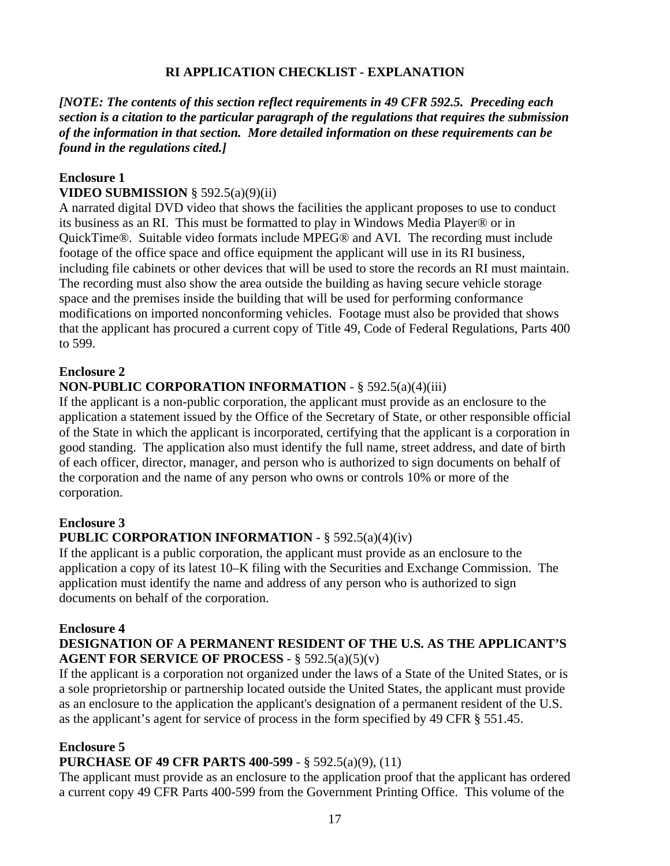# **RI APPLICATION CHECKLIST - EXPLANATION**

## *[NOTE: The contents of this section reflect requirements in 49 CFR 592.5. Preceding each section is a citation to the particular paragraph of the regulations that requires the submission of the information in that section. More detailed information on these requirements can be found in the regulations cited.]*

# **Enclosure 1**

# **VIDEO SUBMISSION** § 592.5(a)(9)(ii)

A narrated digital DVD video that shows the facilities the applicant proposes to use to conduct its business as an RI. This must be formatted to play in Windows Media Player® or in QuickTime®. Suitable video formats include MPEG® and AVI. The recording must include footage of the office space and office equipment the applicant will use in its RI business, including file cabinets or other devices that will be used to store the records an RI must maintain. The recording must also show the area outside the building as having secure vehicle storage space and the premises inside the building that will be used for performing conformance modifications on imported nonconforming vehicles. Footage must also be provided that shows that the applicant has procured a current copy of Title 49, Code of Federal Regulations, Parts 400 to 599.

#### **Enclosure 2**

# **NON-PUBLIC CORPORATION INFORMATION** - § 592.5(a)(4)(iii)

If the applicant is a non-public corporation, the applicant must provide as an enclosure to the application a statement issued by the Office of the Secretary of State, or other responsible official of the State in which the applicant is incorporated, certifying that the applicant is a corporation in good standing. The application also must identify the full name, street address, and date of birth of each officer, director, manager, and person who is authorized to sign documents on behalf of the corporation and the name of any person who owns or controls 10% or more of the corporation.

# **Enclosure 3**

# **PUBLIC CORPORATION INFORMATION** - § 592.5(a)(4)(iv)

If the applicant is a public corporation, the applicant must provide as an enclosure to the application a copy of its latest 10–K filing with the Securities and Exchange Commission. The application must identify the name and address of any person who is authorized to sign documents on behalf of the corporation.

#### **Enclosure 4**

# **DESIGNATION OF A PERMANENT RESIDENT OF THE U.S. AS THE APPLICANT'S AGENT FOR SERVICE OF PROCESS** - § 592.5(a)(5)(v)

If the applicant is a corporation not organized under the laws of a State of the United States, or is a sole proprietorship or partnership located outside the United States, the applicant must provide as an enclosure to the application the applicant's designation of a permanent resident of the U.S. as the applicant's agent for service of process in the form specified by 49 CFR § 551.45.

#### **Enclosure 5**

# **PURCHASE OF 49 CFR PARTS 400-599** - § 592.5(a)(9), (11)

The applicant must provide as an enclosure to the application proof that the applicant has ordered a current copy 49 CFR Parts 400-599 from the Government Printing Office. This volume of the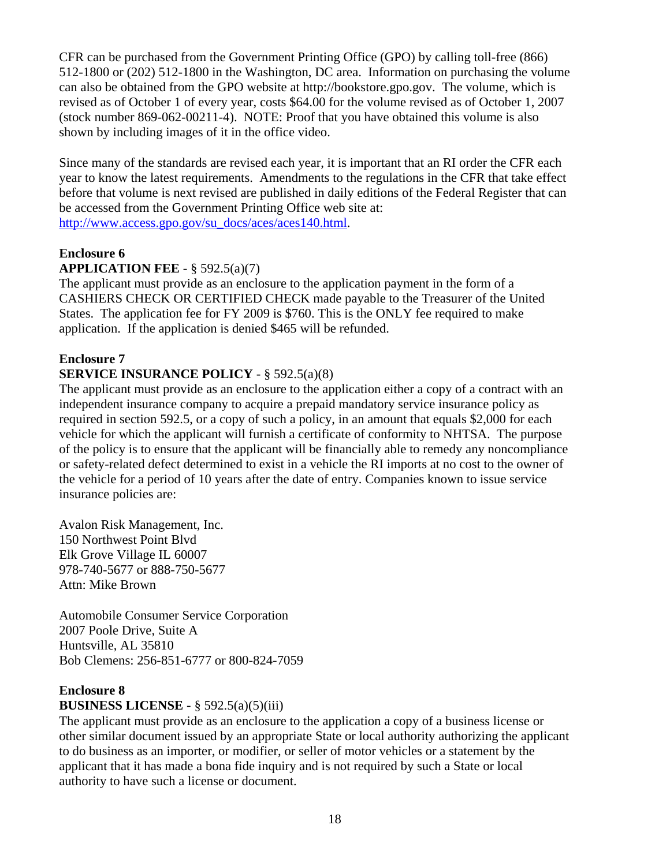CFR can be purchased from the Government Printing Office (GPO) by calling toll-free (866) 512-1800 or (202) 512-1800 in the Washington, DC area. Information on purchasing the volume can also be obtained from the GPO website at http://bookstore.gpo.gov. The volume, which is revised as of October 1 of every year, costs \$64.00 for the volume revised as of October 1, 2007 (stock number 869-062-00211-4). NOTE: Proof that you have obtained this volume is also shown by including images of it in the office video.

Since many of the standards are revised each year, it is important that an RI order the CFR each year to know the latest requirements. Amendments to the regulations in the CFR that take effect before that volume is next revised are published in daily editions of the Federal Register that can be accessed from the Government Printing Office web site at: http://www.access.gpo.gov/su\_docs/aces/aces140.html.

# **Enclosure 6**

# **APPLICATION FEE** - § 592.5(a)(7)

The applicant must provide as an enclosure to the application payment in the form of a CASHIERS CHECK OR CERTIFIED CHECK made payable to the Treasurer of the United States. The application fee for FY 2009 is \$760. This is the ONLY fee required to make application. If the application is denied \$465 will be refunded.

# **Enclosure 7**

# **SERVICE INSURANCE POLICY** - § 592.5(a)(8)

The applicant must provide as an enclosure to the application either a copy of a contract with an independent insurance company to acquire a prepaid mandatory service insurance policy as required in section 592.5, or a copy of such a policy, in an amount that equals \$2,000 for each vehicle for which the applicant will furnish a certificate of conformity to NHTSA. The purpose of the policy is to ensure that the applicant will be financially able to remedy any noncompliance or safety-related defect determined to exist in a vehicle the RI imports at no cost to the owner of the vehicle for a period of 10 years after the date of entry. Companies known to issue service insurance policies are:

Avalon Risk Management, Inc. 150 Northwest Point Blvd Elk Grove Village IL 60007 978-740-5677 or 888-750-5677 Attn: Mike Brown

Automobile Consumer Service Corporation 2007 Poole Drive, Suite A Huntsville, AL 35810 Bob Clemens: 256-851-6777 or 800-824-7059

# **Enclosure 8**

# **BUSINESS LICENSE -** § 592.5(a)(5)(iii)

The applicant must provide as an enclosure to the application a copy of a business license or other similar document issued by an appropriate State or local authority authorizing the applicant to do business as an importer, or modifier, or seller of motor vehicles or a statement by the applicant that it has made a bona fide inquiry and is not required by such a State or local authority to have such a license or document.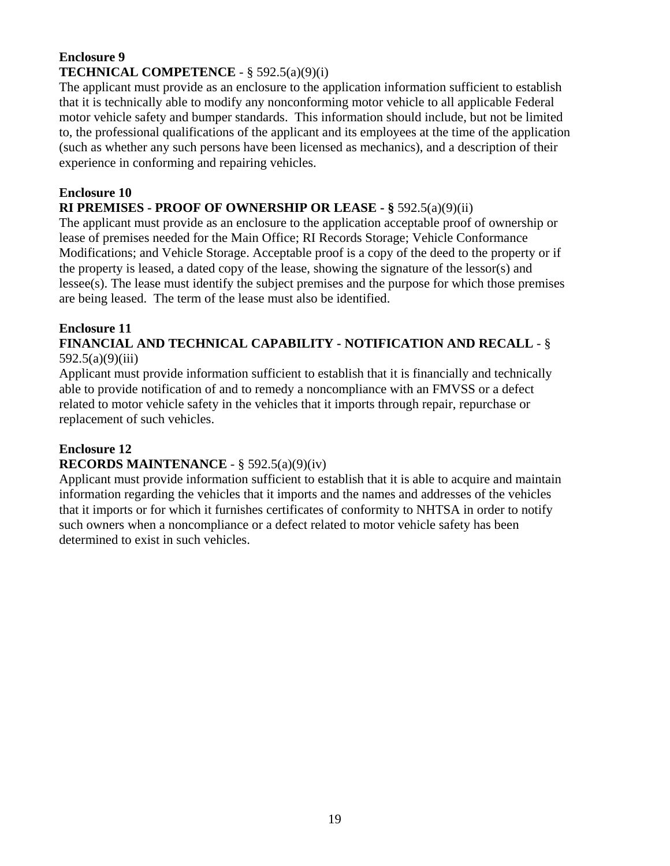# **Enclosure 9 TECHNICAL COMPETENCE** - § 592.5(a)(9)(i)

The applicant must provide as an enclosure to the application information sufficient to establish that it is technically able to modify any nonconforming motor vehicle to all applicable Federal motor vehicle safety and bumper standards. This information should include, but not be limited to, the professional qualifications of the applicant and its employees at the time of the application (such as whether any such persons have been licensed as mechanics), and a description of their experience in conforming and repairing vehicles.

# **Enclosure 10**

# **RI PREMISES - PROOF OF OWNERSHIP OR LEASE - §** 592.5(a)(9)(ii)

The applicant must provide as an enclosure to the application acceptable proof of ownership or lease of premises needed for the Main Office; RI Records Storage; Vehicle Conformance Modifications; and Vehicle Storage. Acceptable proof is a copy of the deed to the property or if the property is leased, a dated copy of the lease, showing the signature of the lessor(s) and lessee(s). The lease must identify the subject premises and the purpose for which those premises are being leased. The term of the lease must also be identified.

# **Enclosure 11**

# **FINANCIAL AND TECHNICAL CAPABILITY - NOTIFICATION AND RECALL** - § 592.5(a)(9)(iii)

Applicant must provide information sufficient to establish that it is financially and technically able to provide notification of and to remedy a noncompliance with an FMVSS or a defect related to motor vehicle safety in the vehicles that it imports through repair, repurchase or replacement of such vehicles.

# **Enclosure 12**

# **RECORDS MAINTENANCE** - § 592.5(a)(9)(iv)

Applicant must provide information sufficient to establish that it is able to acquire and maintain information regarding the vehicles that it imports and the names and addresses of the vehicles that it imports or for which it furnishes certificates of conformity to NHTSA in order to notify such owners when a noncompliance or a defect related to motor vehicle safety has been determined to exist in such vehicles.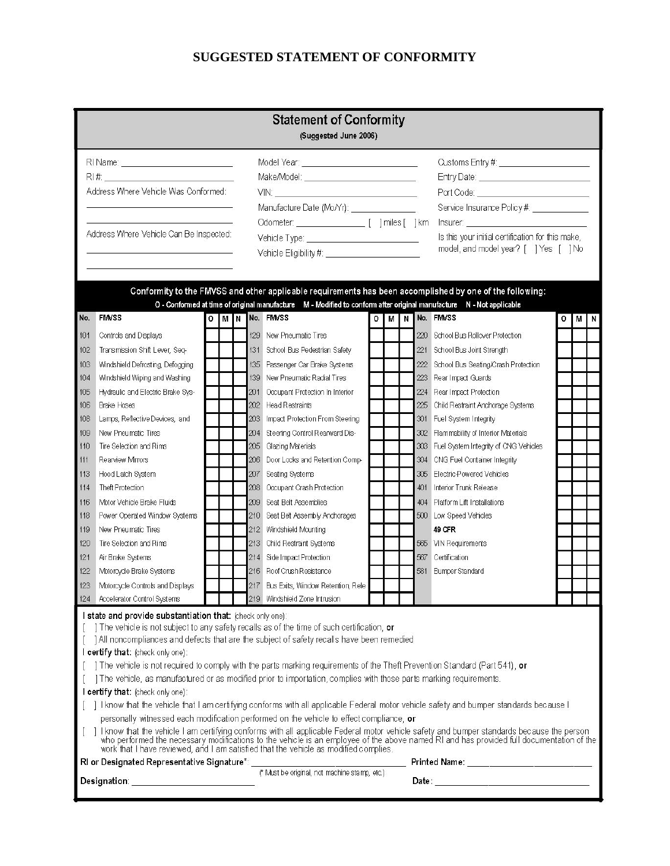# **SUGGESTED STATEMENT OF CONFORMITY**

|     | <b>Statement of Conformity</b><br>(Suggested June 2006)                                                                                                 |                 |                                            |                                                                                                                                                                                                                                                                                                                                                                         |    |                                                                                   |                                                                                                                                                                                                                                |             |  |
|-----|---------------------------------------------------------------------------------------------------------------------------------------------------------|-----------------|--------------------------------------------|-------------------------------------------------------------------------------------------------------------------------------------------------------------------------------------------------------------------------------------------------------------------------------------------------------------------------------------------------------------------------|----|-----------------------------------------------------------------------------------|--------------------------------------------------------------------------------------------------------------------------------------------------------------------------------------------------------------------------------|-------------|--|
|     | RI Name: <u>_________________________</u> _____                                                                                                         |                 |                                            | Model Year: _________________________________                                                                                                                                                                                                                                                                                                                           |    | Customs Entry #: $\_\_\_\_\_\_\_\_\_\_\_\_\_\_\_\_\_\_\_\_\_\_\_\_\_\_\_\_\_\_\_$ |                                                                                                                                                                                                                                |             |  |
|     |                                                                                                                                                         |                 | Make/Model: ______________________________ |                                                                                                                                                                                                                                                                                                                                                                         |    |                                                                                   | Entry Date: ______________________________                                                                                                                                                                                     |             |  |
|     | Address Where Vehicle Was Conformed:                                                                                                                    |                 |                                            | $\begin{picture}(180,10) \put(0,0){\dashbox{0.5}(10,0){ }} \put(10,0){\dashbox{0.5}(10,0){ }} \put(10,0){\dashbox{0.5}(10,0){ }} \put(10,0){\dashbox{0.5}(10,0){ }} \put(10,0){\dashbox{0.5}(10,0){ }} \put(10,0){\dashbox{0.5}(10,0){ }} \put(10,0){\dashbox{0.5}(10,0){ }} \put(10,0){\dashbox{0.5}(10,0){ }} \put(10,0){\dashbox{0.5}(10,0){ }} \put(10,0){\dashbox$ |    |                                                                                   | Port Code: ____________________________                                                                                                                                                                                        |             |  |
|     |                                                                                                                                                         |                 |                                            | Manufacture Date (Mo/Yr): ________________                                                                                                                                                                                                                                                                                                                              |    |                                                                                   | Service Insurance Policy #: _____________                                                                                                                                                                                      |             |  |
|     |                                                                                                                                                         |                 |                                            |                                                                                                                                                                                                                                                                                                                                                                         |    |                                                                                   |                                                                                                                                                                                                                                |             |  |
|     | Address Where Vehicle Can Be Inspected:                                                                                                                 |                 |                                            |                                                                                                                                                                                                                                                                                                                                                                         |    |                                                                                   |                                                                                                                                                                                                                                |             |  |
|     |                                                                                                                                                         |                 |                                            | Vehicle Type: ____________________________                                                                                                                                                                                                                                                                                                                              |    |                                                                                   | Is this your initial certification for this make,<br>model, and model year? [ ] Yes [ ] No                                                                                                                                     |             |  |
|     |                                                                                                                                                         |                 |                                            | O - Conformed at time of original manufacture M - Modified to conform after original manufacture N - Not applicable                                                                                                                                                                                                                                                     |    |                                                                                   | Conformity to the FMVSS and other applicable requirements has been accomplished by one of the following:                                                                                                                       |             |  |
| No. | <b>FMVSS</b>                                                                                                                                            | O M N No. FMVSS |                                            |                                                                                                                                                                                                                                                                                                                                                                         | οI | <b>MIN</b>                                                                        | No. FMVSS                                                                                                                                                                                                                      | 0<br>м<br>N |  |
| 101 | Controls and Displays                                                                                                                                   |                 |                                            | 129 New Pneumatic Tires                                                                                                                                                                                                                                                                                                                                                 |    | 220                                                                               | School Bus Rollover Protection                                                                                                                                                                                                 |             |  |
| 102 | Transmission Shift Lever, Seq-                                                                                                                          |                 |                                            | 131 School Bus Pedestrian Safety                                                                                                                                                                                                                                                                                                                                        |    | 221                                                                               | School Bus Joint Strength                                                                                                                                                                                                      |             |  |
| 103 | Windshield Defrosting, Defogging                                                                                                                        |                 |                                            | 135 Passenger Car Brake Systems                                                                                                                                                                                                                                                                                                                                         |    | 222                                                                               | School Bus Seating/Crash Protection                                                                                                                                                                                            |             |  |
| 104 | Windshield Wiping and Washing                                                                                                                           |                 | 139                                        | New Pneumatic Radial Tires                                                                                                                                                                                                                                                                                                                                              |    | 223                                                                               | Rear Impact Guards                                                                                                                                                                                                             |             |  |
| 105 | Hydraulic and Electric Brake Sys-                                                                                                                       |                 | 201                                        | Occupant Protection In Interior                                                                                                                                                                                                                                                                                                                                         |    | 224                                                                               | Rear Impact Protection                                                                                                                                                                                                         |             |  |
| 106 | Brake Hoses                                                                                                                                             |                 |                                            | 202 Head Restraints                                                                                                                                                                                                                                                                                                                                                     |    | 225                                                                               | Child Restraint Anchorage Systems                                                                                                                                                                                              |             |  |
| 108 | Lamps, Reflective Devices, and                                                                                                                          |                 |                                            | 203 Impact Protection From Steering                                                                                                                                                                                                                                                                                                                                     |    |                                                                                   | 301 Fuel System Integrity                                                                                                                                                                                                      |             |  |
| 109 | New Pneumatic Tires                                                                                                                                     |                 | 204                                        | Steering Control Rearward Dis-                                                                                                                                                                                                                                                                                                                                          |    |                                                                                   | 302 Flammability of Interior Materials                                                                                                                                                                                         |             |  |
| 110 | Tire Selection and Rims                                                                                                                                 |                 |                                            | 205 Glazing Materials                                                                                                                                                                                                                                                                                                                                                   |    |                                                                                   | 303 Fuel System Integrity of CNG Vehicles                                                                                                                                                                                      |             |  |
| 111 | Rearview Mrrors                                                                                                                                         |                 |                                            | 206 Door Locks and Retention Comp-                                                                                                                                                                                                                                                                                                                                      |    | 304                                                                               | CNG Fuel Container Integrity                                                                                                                                                                                                   |             |  |
| 113 | Hood Latch System                                                                                                                                       |                 | 207                                        | Seating Systems                                                                                                                                                                                                                                                                                                                                                         |    | 305                                                                               | Electric-Powered Vehicles                                                                                                                                                                                                      |             |  |
| 114 | Theft Protection                                                                                                                                        |                 | 208                                        | Occupant Crash Protection                                                                                                                                                                                                                                                                                                                                               |    | 401                                                                               | <b>Interior Trunk Release</b>                                                                                                                                                                                                  |             |  |
| 116 | Motor Vehicle Brake Fluids                                                                                                                              |                 |                                            | 209 Seat Belt Assemblies                                                                                                                                                                                                                                                                                                                                                |    |                                                                                   | 404 Platform Lift Installations                                                                                                                                                                                                |             |  |
| 118 | Power Operated Window Systems                                                                                                                           |                 |                                            | 210 Seat Belt Assembly Anchorages                                                                                                                                                                                                                                                                                                                                       |    |                                                                                   | 500 Low Speed Vehicles                                                                                                                                                                                                         |             |  |
| 119 | New Pneumatic Tires                                                                                                                                     |                 |                                            | 212 Windshield Mounting                                                                                                                                                                                                                                                                                                                                                 |    |                                                                                   | 49 CFR                                                                                                                                                                                                                         |             |  |
| 120 | Tire Selection and Rims                                                                                                                                 |                 |                                            | 213 Child Restraint Systems                                                                                                                                                                                                                                                                                                                                             |    |                                                                                   | 565 VIN Requirements                                                                                                                                                                                                           |             |  |
| 121 | Air Brake Systems                                                                                                                                       |                 | 214                                        | Side Impact Protection                                                                                                                                                                                                                                                                                                                                                  |    | 567                                                                               | Certification                                                                                                                                                                                                                  |             |  |
| 122 | Motorcycle Brake Systems                                                                                                                                |                 |                                            | 216 Roof Crush Resistance                                                                                                                                                                                                                                                                                                                                               |    | 581                                                                               | <b>Bumper Standard</b>                                                                                                                                                                                                         |             |  |
| 123 | Motorcycle Controls and Displays                                                                                                                        |                 |                                            | 217 Bus Exits, Window Retention, Rele                                                                                                                                                                                                                                                                                                                                   |    |                                                                                   |                                                                                                                                                                                                                                |             |  |
|     | 124 Accelerator Control Systems                                                                                                                         |                 |                                            | 219 Windshield Zone Intrusion                                                                                                                                                                                                                                                                                                                                           |    |                                                                                   |                                                                                                                                                                                                                                |             |  |
|     | I state and provide substantiation that: (check only one):<br>The vehicle is not subject to any safety recalls as of the time of such certification, or |                 |                                            |                                                                                                                                                                                                                                                                                                                                                                         |    |                                                                                   |                                                                                                                                                                                                                                |             |  |
|     | ] All noncompliances and defects that are the subject of safety recalls have been remedied                                                              |                 |                                            |                                                                                                                                                                                                                                                                                                                                                                         |    |                                                                                   |                                                                                                                                                                                                                                |             |  |
|     | I certify that: (check only one):                                                                                                                       |                 |                                            |                                                                                                                                                                                                                                                                                                                                                                         |    |                                                                                   |                                                                                                                                                                                                                                |             |  |
|     | The vehicle is not required to comply with the parts marking requirements of the Theft Prevention Standard (Part 541), or                               |                 |                                            |                                                                                                                                                                                                                                                                                                                                                                         |    |                                                                                   |                                                                                                                                                                                                                                |             |  |
|     | The vehicle, as manufactured or as modified prior to importation, complies with those parts marking requirements.                                       |                 |                                            |                                                                                                                                                                                                                                                                                                                                                                         |    |                                                                                   |                                                                                                                                                                                                                                |             |  |
|     | I certify that: (check only one):                                                                                                                       |                 |                                            |                                                                                                                                                                                                                                                                                                                                                                         |    |                                                                                   |                                                                                                                                                                                                                                |             |  |
|     |                                                                                                                                                         |                 |                                            |                                                                                                                                                                                                                                                                                                                                                                         |    |                                                                                   | 1 I know that the vehicle that I am certifying conforms with all applicable Federal motor vehicle safety and bumper standards because I                                                                                        |             |  |
|     |                                                                                                                                                         |                 |                                            | personally witnessed each modification performed on the vehicle to effect compliance, or                                                                                                                                                                                                                                                                                |    |                                                                                   |                                                                                                                                                                                                                                |             |  |
|     |                                                                                                                                                         |                 |                                            |                                                                                                                                                                                                                                                                                                                                                                         |    |                                                                                   | ] I know that the vehicle I am certifying conforms with all applicable Federal motor vehicle safety and bumper standards because the person who performed the necessary modifications to the vehicle is an employee of the abo |             |  |
|     | RI or Designated Representative Signature*: ___                                                                                                         |                 |                                            | (* Must be original, not machine stamp, etc.)                                                                                                                                                                                                                                                                                                                           |    |                                                                                   | ____ Printed Name: ______________________________                                                                                                                                                                              |             |  |
|     | Designation: _____________________________                                                                                                              |                 |                                            |                                                                                                                                                                                                                                                                                                                                                                         |    |                                                                                   |                                                                                                                                                                                                                                |             |  |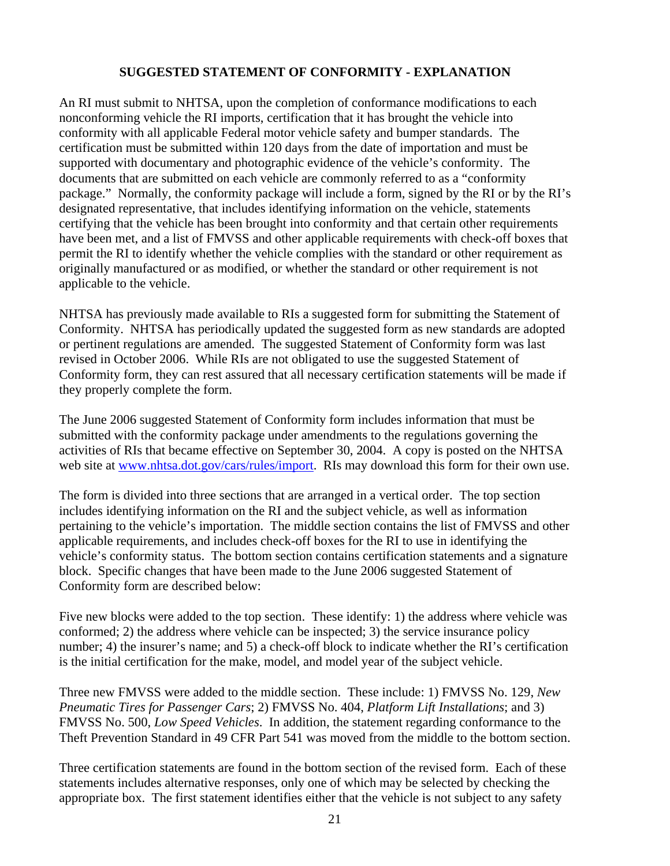#### **SUGGESTED STATEMENT OF CONFORMITY - EXPLANATION**

An RI must submit to NHTSA, upon the completion of conformance modifications to each nonconforming vehicle the RI imports, certification that it has brought the vehicle into conformity with all applicable Federal motor vehicle safety and bumper standards. The certification must be submitted within 120 days from the date of importation and must be supported with documentary and photographic evidence of the vehicle's conformity. The documents that are submitted on each vehicle are commonly referred to as a "conformity package." Normally, the conformity package will include a form, signed by the RI or by the RI's designated representative, that includes identifying information on the vehicle, statements certifying that the vehicle has been brought into conformity and that certain other requirements have been met, and a list of FMVSS and other applicable requirements with check-off boxes that permit the RI to identify whether the vehicle complies with the standard or other requirement as originally manufactured or as modified, or whether the standard or other requirement is not applicable to the vehicle.

NHTSA has previously made available to RIs a suggested form for submitting the Statement of Conformity. NHTSA has periodically updated the suggested form as new standards are adopted or pertinent regulations are amended. The suggested Statement of Conformity form was last revised in October 2006. While RIs are not obligated to use the suggested Statement of Conformity form, they can rest assured that all necessary certification statements will be made if they properly complete the form.

The June 2006 suggested Statement of Conformity form includes information that must be submitted with the conformity package under amendments to the regulations governing the activities of RIs that became effective on September 30, 2004. A copy is posted on the NHTSA web site at www.nhtsa.dot.gov/cars/rules/import. RIs may download this form for their own use.

The form is divided into three sections that are arranged in a vertical order. The top section includes identifying information on the RI and the subject vehicle, as well as information pertaining to the vehicle's importation. The middle section contains the list of FMVSS and other applicable requirements, and includes check-off boxes for the RI to use in identifying the vehicle's conformity status. The bottom section contains certification statements and a signature block. Specific changes that have been made to the June 2006 suggested Statement of Conformity form are described below:

Five new blocks were added to the top section. These identify: 1) the address where vehicle was conformed; 2) the address where vehicle can be inspected; 3) the service insurance policy number; 4) the insurer's name; and 5) a check-off block to indicate whether the RI's certification is the initial certification for the make, model, and model year of the subject vehicle.

Three new FMVSS were added to the middle section. These include: 1) FMVSS No. 129, *New Pneumatic Tires for Passenger Cars*; 2) FMVSS No. 404, *Platform Lift Installations*; and 3) FMVSS No. 500, *Low Speed Vehicles*. In addition, the statement regarding conformance to the Theft Prevention Standard in 49 CFR Part 541 was moved from the middle to the bottom section.

Three certification statements are found in the bottom section of the revised form. Each of these statements includes alternative responses, only one of which may be selected by checking the appropriate box. The first statement identifies either that the vehicle is not subject to any safety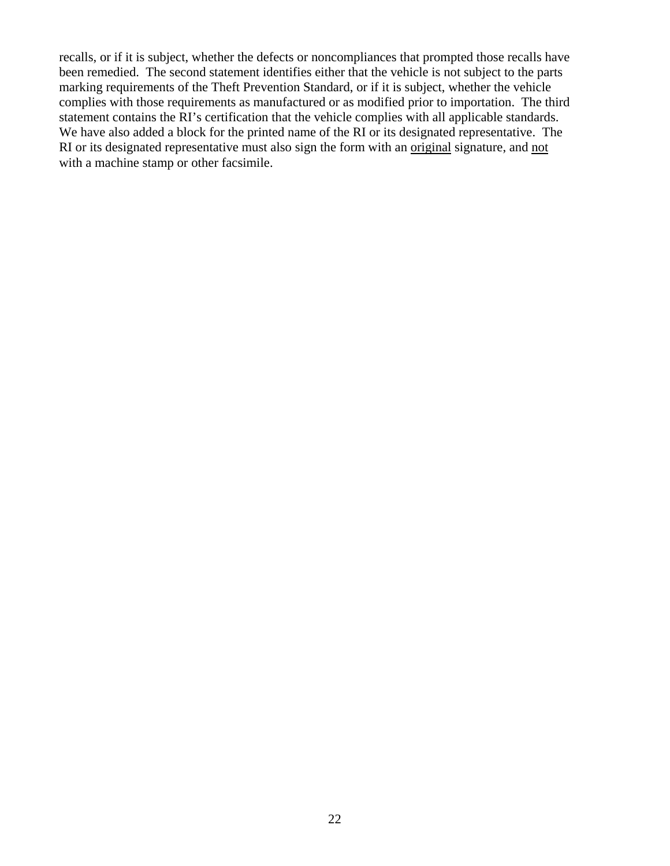recalls, or if it is subject, whether the defects or noncompliances that prompted those recalls have been remedied. The second statement identifies either that the vehicle is not subject to the parts marking requirements of the Theft Prevention Standard, or if it is subject, whether the vehicle complies with those requirements as manufactured or as modified prior to importation. The third statement contains the RI's certification that the vehicle complies with all applicable standards. We have also added a block for the printed name of the RI or its designated representative. The RI or its designated representative must also sign the form with an original signature, and not with a machine stamp or other facsimile.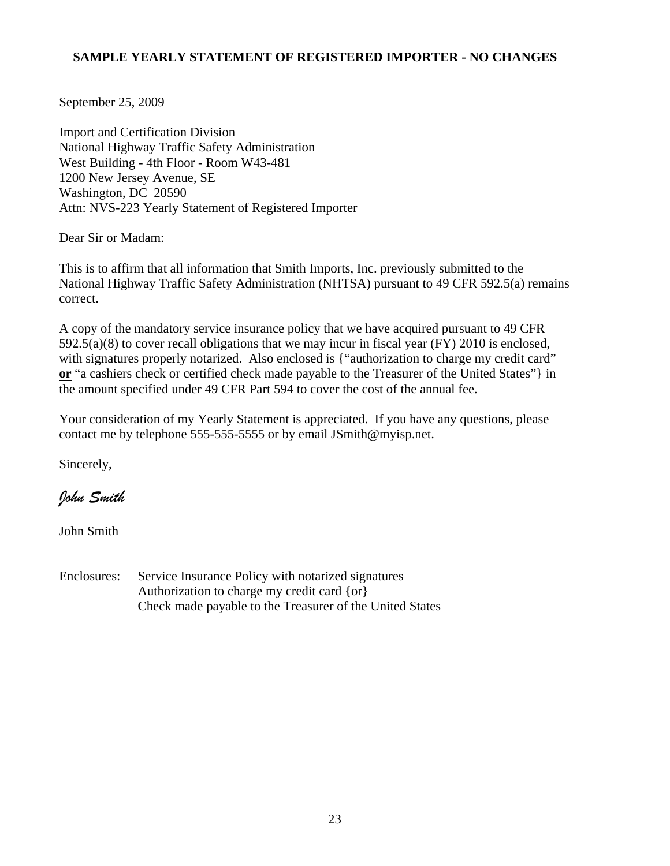# **SAMPLE YEARLY STATEMENT OF REGISTERED IMPORTER - NO CHANGES**

September 25, 2009

Import and Certification Division National Highway Traffic Safety Administration West Building - 4th Floor - Room W43-481 1200 New Jersey Avenue, SE Washington, DC 20590 Attn: NVS-223 Yearly Statement of Registered Importer

Dear Sir or Madam:

This is to affirm that all information that Smith Imports, Inc. previously submitted to the National Highway Traffic Safety Administration (NHTSA) pursuant to 49 CFR 592.5(a) remains correct.

A copy of the mandatory service insurance policy that we have acquired pursuant to 49 CFR 592.5(a)(8) to cover recall obligations that we may incur in fiscal year (FY) 2010 is enclosed, with signatures properly notarized. Also enclosed is {"authorization to charge my credit card" **or** "a cashiers check or certified check made payable to the Treasurer of the United States"} in the amount specified under 49 CFR Part 594 to cover the cost of the annual fee.

Your consideration of my Yearly Statement is appreciated. If you have any questions, please contact me by telephone 555-555-5555 or by email JSmith@myisp.net.

Sincerely,

*John Smith* 

John Smith

Enclosures: Service Insurance Policy with notarized signatures Authorization to charge my credit card {or} Check made payable to the Treasurer of the United States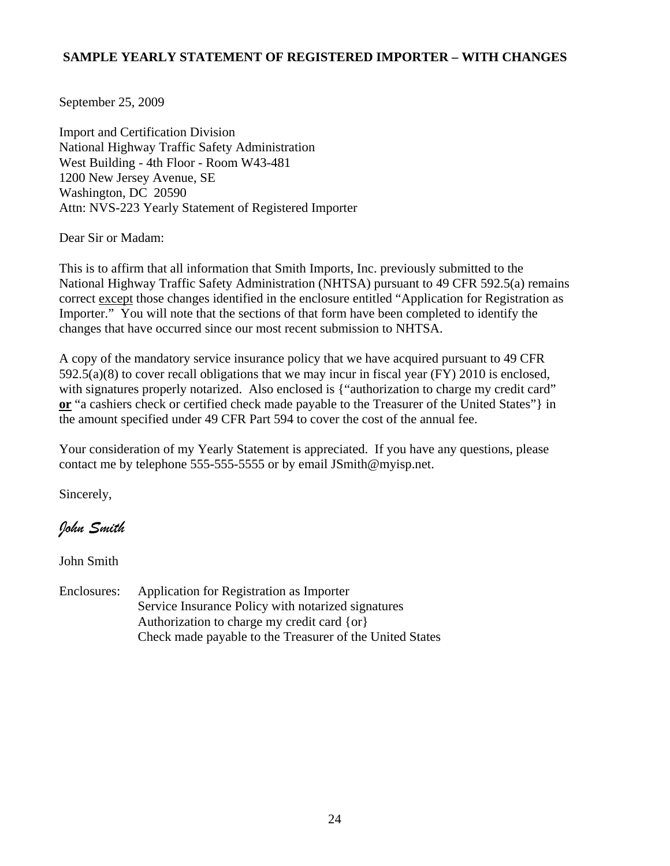# **SAMPLE YEARLY STATEMENT OF REGISTERED IMPORTER – WITH CHANGES**

September 25, 2009

Import and Certification Division National Highway Traffic Safety Administration West Building - 4th Floor - Room W43-481 1200 New Jersey Avenue, SE Washington, DC 20590 Attn: NVS-223 Yearly Statement of Registered Importer

Dear Sir or Madam:

This is to affirm that all information that Smith Imports, Inc. previously submitted to the National Highway Traffic Safety Administration (NHTSA) pursuant to 49 CFR 592.5(a) remains correct except those changes identified in the enclosure entitled "Application for Registration as Importer." You will note that the sections of that form have been completed to identify the changes that have occurred since our most recent submission to NHTSA.

A copy of the mandatory service insurance policy that we have acquired pursuant to 49 CFR 592.5(a)(8) to cover recall obligations that we may incur in fiscal year (FY) 2010 is enclosed, with signatures properly notarized. Also enclosed is {"authorization to charge my credit card" **or** "a cashiers check or certified check made payable to the Treasurer of the United States"} in the amount specified under 49 CFR Part 594 to cover the cost of the annual fee.

Your consideration of my Yearly Statement is appreciated. If you have any questions, please contact me by telephone 555-555-5555 or by email JSmith@myisp.net.

Sincerely,

*John Smith* 

John Smith

Enclosures: Application for Registration as Importer Service Insurance Policy with notarized signatures Authorization to charge my credit card {or} Check made payable to the Treasurer of the United States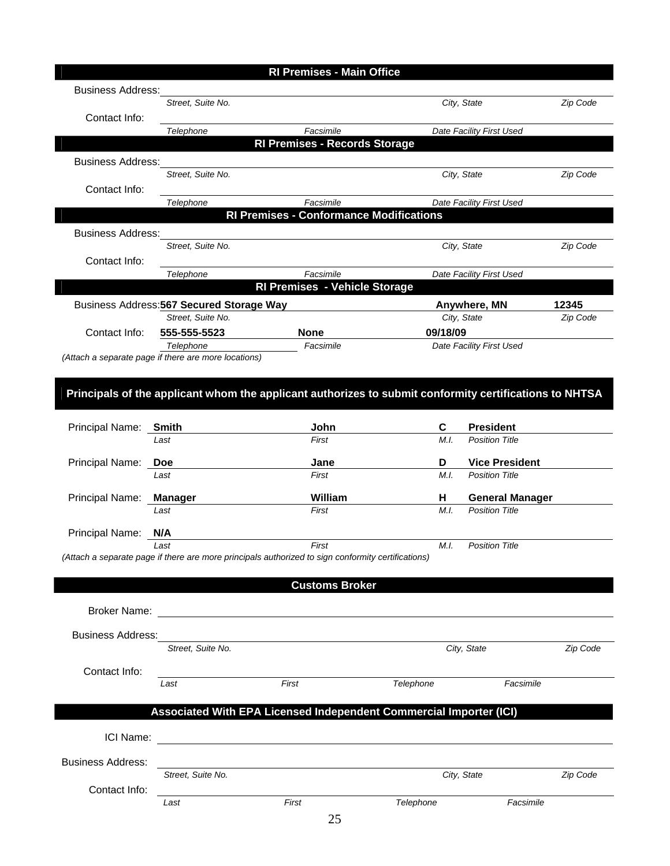| <b>Business Address:</b>                                                                               |                                                                   |                                                                                                    |           |                                           |          |
|--------------------------------------------------------------------------------------------------------|-------------------------------------------------------------------|----------------------------------------------------------------------------------------------------|-----------|-------------------------------------------|----------|
|                                                                                                        | Street, Suite No.                                                 |                                                                                                    |           | City, State                               | Zip Code |
| Contact Info:                                                                                          |                                                                   |                                                                                                    |           |                                           |          |
|                                                                                                        | Telephone                                                         | Facsimile<br><b>RI Premises - Records Storage</b>                                                  |           | Date Facility First Used                  |          |
|                                                                                                        |                                                                   |                                                                                                    |           |                                           |          |
| <b>Business Address:</b>                                                                               | Street, Suite No.                                                 |                                                                                                    |           |                                           |          |
| Contact Info:                                                                                          |                                                                   |                                                                                                    |           | City, State                               | Zip Code |
|                                                                                                        | Telephone                                                         | Facsimile                                                                                          |           | Date Facility First Used                  |          |
|                                                                                                        |                                                                   | <b>RI Premises - Conformance Modifications</b>                                                     |           |                                           |          |
| <b>Business Address:</b>                                                                               |                                                                   |                                                                                                    |           |                                           |          |
|                                                                                                        | Street, Suite No.                                                 |                                                                                                    |           | City, State                               | Zip Code |
| Contact Info:                                                                                          |                                                                   |                                                                                                    |           |                                           |          |
|                                                                                                        | Telephone                                                         | Facsimile                                                                                          |           | Date Facility First Used                  |          |
|                                                                                                        |                                                                   | <b>RI Premises - Vehicle Storage</b>                                                               |           |                                           |          |
|                                                                                                        | Business Address: 567 Secured Storage Way                         |                                                                                                    |           | Anywhere, MN                              | 12345    |
|                                                                                                        | Street, Suite No.                                                 |                                                                                                    |           | City, State                               | Zip Code |
| Contact Info:                                                                                          | 555-555-5523                                                      | <b>None</b>                                                                                        | 09/18/09  |                                           |          |
|                                                                                                        | Telephone<br>(Attach a separate page if there are more locations) | Facsimile                                                                                          |           | Date Facility First Used                  |          |
| Principals of the applicant whom the applicant authorizes to submit conformity certifications to NHTSA |                                                                   |                                                                                                    |           |                                           |          |
| Principal Name: Smith                                                                                  | Last                                                              | John<br>First                                                                                      | C<br>M.I. | <b>President</b><br><b>Position Title</b> |          |
|                                                                                                        |                                                                   |                                                                                                    |           |                                           |          |
| Principal Name:                                                                                        | Doe                                                               | Jane                                                                                               | D         | <b>Vice President</b>                     |          |
|                                                                                                        | Last                                                              | First                                                                                              | M.I.      | <b>Position Title</b>                     |          |
| Principal Name:                                                                                        | Manager                                                           | William                                                                                            | H         | <b>General Manager</b>                    |          |
|                                                                                                        | Last                                                              | First                                                                                              | M.I.      | <b>Position Title</b>                     |          |
| Principal Name:                                                                                        | N/A                                                               |                                                                                                    |           |                                           |          |
|                                                                                                        | Last                                                              | First                                                                                              | M.I.      | <b>Position Title</b>                     |          |
|                                                                                                        |                                                                   | (Attach a separate page if there are more principals authorized to sign conformity certifications) |           |                                           |          |
|                                                                                                        |                                                                   |                                                                                                    |           |                                           |          |
|                                                                                                        |                                                                   | <b>Customs Broker</b>                                                                              |           |                                           |          |
| <b>Broker Name:</b>                                                                                    |                                                                   |                                                                                                    |           |                                           |          |
|                                                                                                        |                                                                   | <u> 1980 - Jan Andrea Stadt, fransk politik (d. 1980)</u>                                          |           |                                           |          |
| <b>Business Address:</b>                                                                               |                                                                   |                                                                                                    |           |                                           |          |
|                                                                                                        | Street, Suite No.                                                 |                                                                                                    |           | City, State                               | Zip Code |
| Contact Info:                                                                                          |                                                                   |                                                                                                    |           |                                           |          |
|                                                                                                        | Last                                                              | First                                                                                              | Telephone | Facsimile                                 |          |
|                                                                                                        |                                                                   |                                                                                                    |           |                                           |          |
|                                                                                                        |                                                                   | Associated With EPA Licensed Independent Commercial Importer (ICI)                                 |           |                                           |          |
|                                                                                                        |                                                                   |                                                                                                    |           |                                           |          |
|                                                                                                        |                                                                   |                                                                                                    |           |                                           |          |
| <b>Business Address:</b>                                                                               |                                                                   |                                                                                                    |           |                                           |          |
|                                                                                                        | Street, Suite No.                                                 |                                                                                                    |           | City, State                               | Zip Code |
| Contact Info:                                                                                          | Last                                                              | First                                                                                              | Telephone | Facsimile                                 |          |